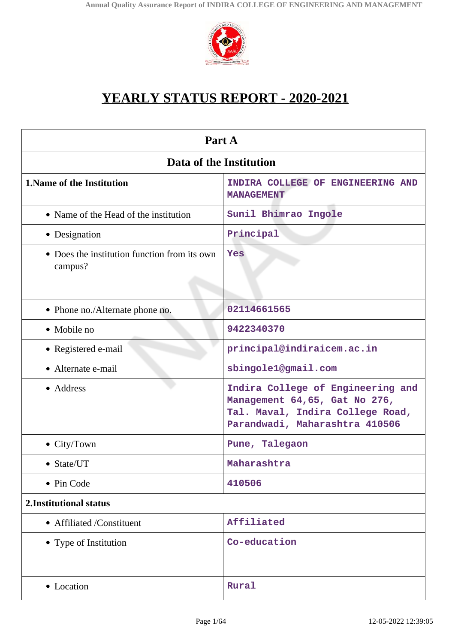

# **YEARLY STATUS REPORT - 2020-2021**

| Part A                                                  |                                                                                                                                          |  |
|---------------------------------------------------------|------------------------------------------------------------------------------------------------------------------------------------------|--|
| Data of the Institution                                 |                                                                                                                                          |  |
| <b>1. Name of the Institution</b>                       | INDIRA COLLEGE OF ENGINEERING AND<br><b>MANAGEMENT</b>                                                                                   |  |
| • Name of the Head of the institution                   | Sunil Bhimrao Ingole                                                                                                                     |  |
| • Designation                                           | Principal                                                                                                                                |  |
| • Does the institution function from its own<br>campus? | Yes                                                                                                                                      |  |
| • Phone no./Alternate phone no.                         | 02114661565                                                                                                                              |  |
| • Mobile no                                             | 9422340370                                                                                                                               |  |
| • Registered e-mail                                     | principal@indiraicem.ac.in                                                                                                               |  |
| • Alternate e-mail                                      | sbingole1@gmail.com                                                                                                                      |  |
| • Address                                               | Indira College of Engineering and<br>Management 64,65, Gat No 276,<br>Tal. Maval, Indira College Road,<br>Parandwadi, Maharashtra 410506 |  |
| $\bullet$ City/Town                                     | Pune, Talegaon                                                                                                                           |  |
| • State/UT                                              | Maharashtra                                                                                                                              |  |
| • Pin Code                                              | 410506                                                                                                                                   |  |
| 2. Institutional status                                 |                                                                                                                                          |  |
| • Affiliated /Constituent                               | Affiliated                                                                                                                               |  |
| • Type of Institution                                   | Co-education                                                                                                                             |  |
| • Location                                              | Rural                                                                                                                                    |  |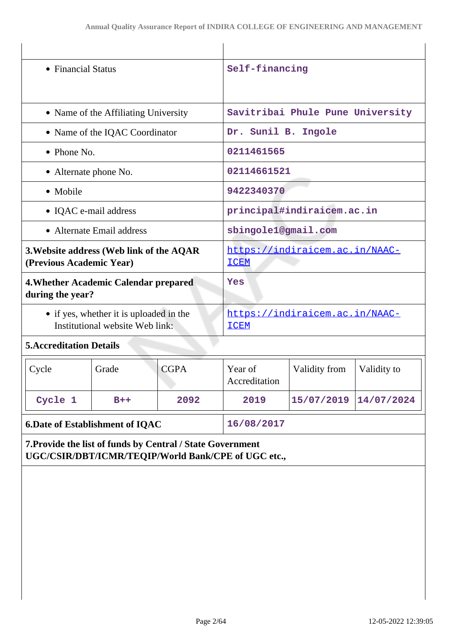| • Financial Status                                                         |                                                                                                                   | Self-financing                                |             |                          |                                  |             |  |
|----------------------------------------------------------------------------|-------------------------------------------------------------------------------------------------------------------|-----------------------------------------------|-------------|--------------------------|----------------------------------|-------------|--|
|                                                                            |                                                                                                                   |                                               |             |                          |                                  |             |  |
|                                                                            |                                                                                                                   | • Name of the Affiliating University          |             |                          | Savitribai Phule Pune University |             |  |
|                                                                            |                                                                                                                   | • Name of the IQAC Coordinator                |             | Dr. Sunil B. Ingole      |                                  |             |  |
|                                                                            | $\bullet$ Phone No.                                                                                               |                                               |             | 0211461565               |                                  |             |  |
|                                                                            | • Alternate phone No.                                                                                             |                                               |             | 02114661521              |                                  |             |  |
|                                                                            | • Mobile                                                                                                          |                                               |             | 9422340370               |                                  |             |  |
|                                                                            | • IQAC e-mail address                                                                                             |                                               |             |                          | principal#indiraicem.ac.in       |             |  |
|                                                                            |                                                                                                                   | • Alternate Email address                     |             | sbingole1@gmail.com      |                                  |             |  |
|                                                                            | 3. Website address (Web link of the AQAR<br>(Previous Academic Year)                                              |                                               |             | <b>ICEM</b>              | https://indiraicem.ac.in/NAAC-   |             |  |
|                                                                            | 4. Whether Academic Calendar prepared<br>during the year?                                                         |                                               |             | Yes                      |                                  |             |  |
| • if yes, whether it is uploaded in the<br>Institutional website Web link: |                                                                                                                   | https://indiraicem.ac.in/NAAC-<br><b>ICEM</b> |             |                          |                                  |             |  |
| <b>5. Accreditation Details</b>                                            |                                                                                                                   |                                               |             |                          |                                  |             |  |
|                                                                            | Cycle                                                                                                             | Grade                                         | <b>CGPA</b> | Year of<br>Accreditation | Validity from                    | Validity to |  |
|                                                                            | Cycle 1                                                                                                           | $B++$                                         | 2092        | 2019                     | 15/07/2019                       | 14/07/2024  |  |
|                                                                            | <b>6.Date of Establishment of IQAC</b>                                                                            |                                               |             | 16/08/2017               |                                  |             |  |
|                                                                            | 7. Provide the list of funds by Central / State Government<br>UGC/CSIR/DBT/ICMR/TEQIP/World Bank/CPE of UGC etc., |                                               |             |                          |                                  |             |  |
|                                                                            |                                                                                                                   |                                               |             |                          |                                  |             |  |
|                                                                            |                                                                                                                   |                                               |             |                          |                                  |             |  |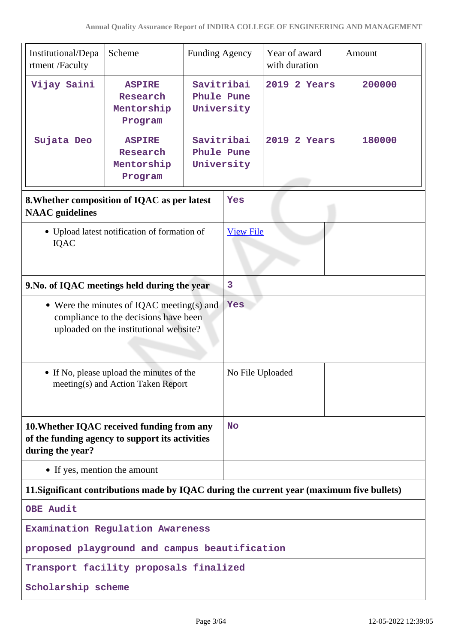| Institutional/Depa<br>rtment /Faculty                                                                                        | Scheme                                             | <b>Funding Agency</b>                  |                  | Year of award<br>with duration | Amount |
|------------------------------------------------------------------------------------------------------------------------------|----------------------------------------------------|----------------------------------------|------------------|--------------------------------|--------|
| Vijay Saini                                                                                                                  | <b>ASPIRE</b><br>Research<br>Mentorship<br>Program | Savitribai<br>Phule Pune<br>University |                  | 2019 2 Years                   | 200000 |
| Sujata Deo                                                                                                                   | <b>ASPIRE</b><br>Research<br>Mentorship<br>Program | Savitribai<br>Phule Pune<br>University |                  | 2019<br>2 Years                | 180000 |
| 8. Whether composition of IQAC as per latest<br><b>NAAC</b> guidelines                                                       |                                                    |                                        | Yes              |                                |        |
| <b>IQAC</b>                                                                                                                  | • Upload latest notification of formation of       |                                        | <b>View File</b> |                                |        |
| 9. No. of IQAC meetings held during the year                                                                                 |                                                    |                                        | $\overline{3}$   |                                |        |
| • Were the minutes of IQAC meeting(s) and<br>compliance to the decisions have been<br>uploaded on the institutional website? |                                                    | Yes                                    |                  |                                |        |
| • If No, please upload the minutes of the<br>meeting(s) and Action Taken Report                                              |                                                    | No File Uploaded                       |                  |                                |        |
| 10. Whether IQAC received funding from any<br>of the funding agency to support its activities<br>during the year?            |                                                    | <b>No</b>                              |                  |                                |        |
| • If yes, mention the amount                                                                                                 |                                                    |                                        |                  |                                |        |
| 11. Significant contributions made by IQAC during the current year (maximum five bullets)                                    |                                                    |                                        |                  |                                |        |
| <b>OBE Audit</b>                                                                                                             |                                                    |                                        |                  |                                |        |
| Examination Regulation Awareness                                                                                             |                                                    |                                        |                  |                                |        |
| proposed playground and campus beautification                                                                                |                                                    |                                        |                  |                                |        |
| Transport facility proposals finalized                                                                                       |                                                    |                                        |                  |                                |        |
| Scholarship scheme                                                                                                           |                                                    |                                        |                  |                                |        |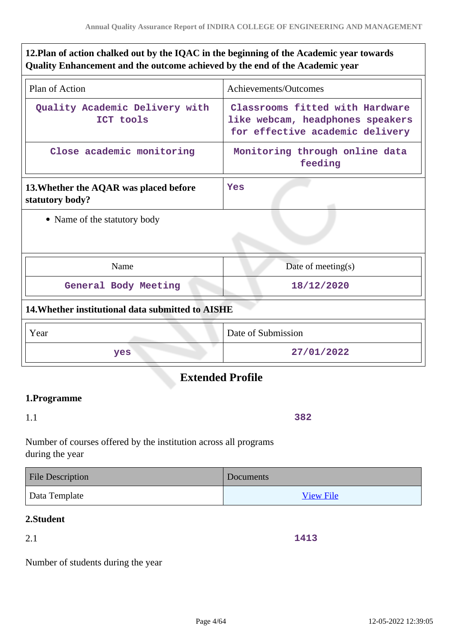# **12.Plan of action chalked out by the IQAC in the beginning of the Academic year towards Quality Enhancement and the outcome achieved by the end of the Academic year**

| Plan of Action                                            | Achievements/Outcomes                                                                                  |
|-----------------------------------------------------------|--------------------------------------------------------------------------------------------------------|
| Quality Academic Delivery with<br>ICT tools               | Classrooms fitted with Hardware<br>like webcam, headphones speakers<br>for effective academic delivery |
| Close academic monitoring                                 | Monitoring through online data<br>feeding                                                              |
| 13. Whether the AQAR was placed before<br>statutory body? | <b>Yes</b>                                                                                             |
| • Name of the statutory body                              |                                                                                                        |
| Name                                                      | Date of meeting $(s)$                                                                                  |
| General Body Meeting                                      | 18/12/2020                                                                                             |
| 14. Whether institutional data submitted to AISHE         |                                                                                                        |
| Year                                                      | Date of Submission                                                                                     |
| yes                                                       | 27/01/2022                                                                                             |

# **Extended Profile**

# **1.Programme**

1.1

**382**

Number of courses offered by the institution across all programs during the year

| <b>File Description</b> | Documents        |
|-------------------------|------------------|
| Data Template           | <b>View File</b> |

## **2.Student**

2.1

**1413**

Number of students during the year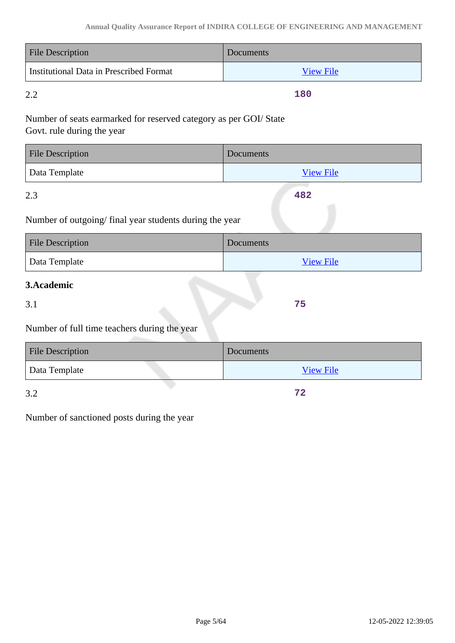| <b>File Description</b>                 | <b>Documents</b> |
|-----------------------------------------|------------------|
| Institutional Data in Prescribed Format | <b>View File</b> |

2.2

**180**

**482**

**75**

# Number of seats earmarked for reserved category as per GOI/ State Govt. rule during the year

| <b>File Description</b> | Documents        |
|-------------------------|------------------|
| Data Template           | <b>View File</b> |

2.3

Number of outgoing/ final year students during the year

| <b>File Description</b> | Documents        |
|-------------------------|------------------|
| Data Template           | <b>View File</b> |

# **3.Academic**

3.1

Number of full time teachers during the year

| <b>File Description</b> | Documents        |
|-------------------------|------------------|
| Data Template           | <b>View File</b> |
| 3.2                     | 72               |

3.2

Number of sanctioned posts during the year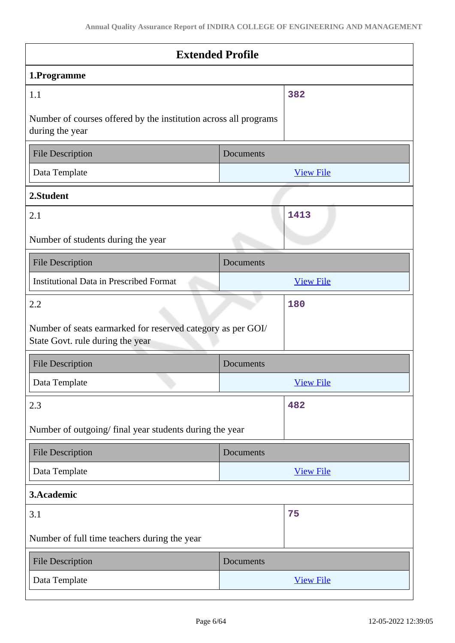| <b>Extended Profile</b>                                                                         |           |                  |  |
|-------------------------------------------------------------------------------------------------|-----------|------------------|--|
| 1.Programme                                                                                     |           |                  |  |
| 1.1                                                                                             |           | 382              |  |
| Number of courses offered by the institution across all programs<br>during the year             |           |                  |  |
| <b>File Description</b>                                                                         | Documents |                  |  |
| Data Template                                                                                   |           | <b>View File</b> |  |
| 2.Student                                                                                       |           |                  |  |
| 2.1                                                                                             |           | 1413             |  |
| Number of students during the year                                                              |           |                  |  |
| <b>File Description</b>                                                                         | Documents |                  |  |
| <b>Institutional Data in Prescribed Format</b>                                                  |           | <b>View File</b> |  |
| 2.2                                                                                             |           | 180              |  |
| Number of seats earmarked for reserved category as per GOI/<br>State Govt. rule during the year |           |                  |  |
| <b>File Description</b>                                                                         | Documents |                  |  |
| Data Template                                                                                   |           | <b>View File</b> |  |
| 2.3                                                                                             |           | 482              |  |
| Number of outgoing/final year students during the year                                          |           |                  |  |
| <b>File Description</b>                                                                         | Documents |                  |  |
| Data Template                                                                                   |           | <b>View File</b> |  |
| 3.Academic                                                                                      |           |                  |  |
| 3.1                                                                                             |           | 75               |  |
| Number of full time teachers during the year                                                    |           |                  |  |
| <b>File Description</b>                                                                         | Documents |                  |  |
| Data Template                                                                                   |           | <b>View File</b> |  |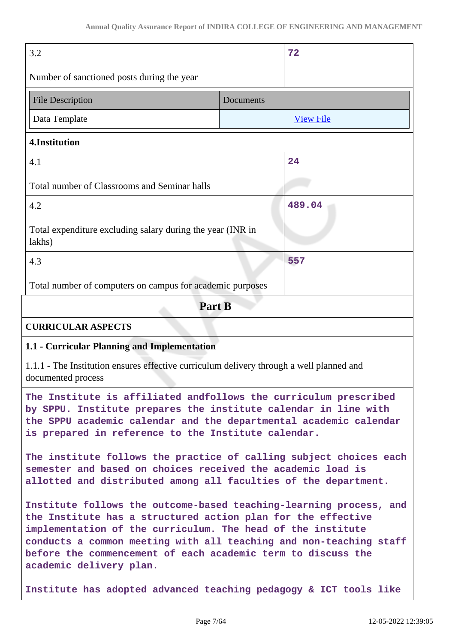| 3.2                                                                                                                                                                                                                                                                                                                                                                |           | 72               |
|--------------------------------------------------------------------------------------------------------------------------------------------------------------------------------------------------------------------------------------------------------------------------------------------------------------------------------------------------------------------|-----------|------------------|
| Number of sanctioned posts during the year                                                                                                                                                                                                                                                                                                                         |           |                  |
| <b>File Description</b>                                                                                                                                                                                                                                                                                                                                            | Documents |                  |
| Data Template                                                                                                                                                                                                                                                                                                                                                      |           | <b>View File</b> |
| 4.Institution                                                                                                                                                                                                                                                                                                                                                      |           |                  |
| 4.1                                                                                                                                                                                                                                                                                                                                                                |           | 24               |
| Total number of Classrooms and Seminar halls                                                                                                                                                                                                                                                                                                                       |           |                  |
| 4.2                                                                                                                                                                                                                                                                                                                                                                |           | 489.04           |
| Total expenditure excluding salary during the year (INR in<br>lakhs)                                                                                                                                                                                                                                                                                               |           |                  |
| 4.3                                                                                                                                                                                                                                                                                                                                                                |           | 557              |
| Total number of computers on campus for academic purposes                                                                                                                                                                                                                                                                                                          |           |                  |
| Part B                                                                                                                                                                                                                                                                                                                                                             |           |                  |
| <b>CURRICULAR ASPECTS</b>                                                                                                                                                                                                                                                                                                                                          |           |                  |
| 1.1 - Curricular Planning and Implementation                                                                                                                                                                                                                                                                                                                       |           |                  |
| 1.1.1 - The Institution ensures effective curriculum delivery through a well planned and<br>documented process                                                                                                                                                                                                                                                     |           |                  |
| The Institute is affiliated andfollows the curriculum prescribed<br>by SPPU. Institute prepares the institute calendar in line with<br>the SPPU academic calendar and the departmental academic calendar<br>is prepared in reference to the Institute calendar.                                                                                                    |           |                  |
| The institute follows the practice of calling subject choices each<br>semester and based on choices received the academic load is<br>allotted and distributed among all faculties of the department.                                                                                                                                                               |           |                  |
| Institute follows the outcome-based teaching-learning process, and<br>the Institute has a structured action plan for the effective<br>implementation of the curriculum. The head of the institute<br>conducts a common meeting with all teaching and non-teaching staff<br>before the commencement of each academic term to discuss the<br>academic delivery plan. |           |                  |
| Institute has adopted advanced teaching pedagogy & ICT tools like                                                                                                                                                                                                                                                                                                  |           |                  |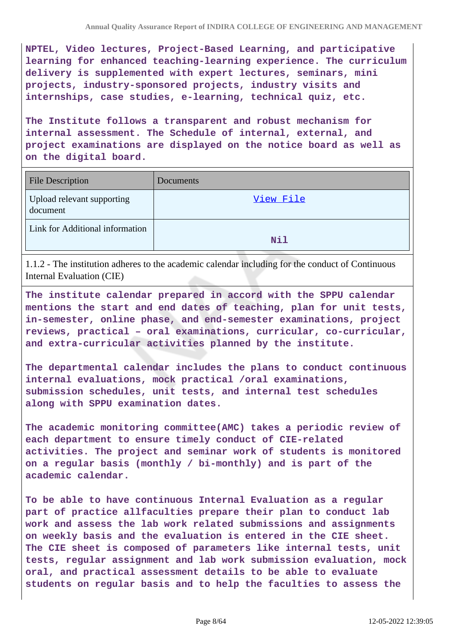**NPTEL, Video lectures, Project-Based Learning, and participative learning for enhanced teaching-learning experience. The curriculum delivery is supplemented with expert lectures, seminars, mini projects, industry-sponsored projects, industry visits and internships, case studies, e-learning, technical quiz, etc.**

**The Institute follows a transparent and robust mechanism for internal assessment. The Schedule of internal, external, and project examinations are displayed on the notice board as well as on the digital board.**

| <b>File Description</b>                | Documents  |
|----------------------------------------|------------|
| Upload relevant supporting<br>document | View File  |
| Link for Additional information        | <b>Nil</b> |

1.1.2 - The institution adheres to the academic calendar including for the conduct of Continuous Internal Evaluation (CIE)

**The institute calendar prepared in accord with the SPPU calendar mentions the start and end dates of teaching, plan for unit tests, in-semester, online phase, and end-semester examinations, project reviews, practical – oral examinations, curricular, co-curricular, and extra-curricular activities planned by the institute.**

**The departmental calendar includes the plans to conduct continuous internal evaluations, mock practical /oral examinations, submission schedules, unit tests, and internal test schedules along with SPPU examination dates.**

**The academic monitoring committee(AMC) takes a periodic review of each department to ensure timely conduct of CIE-related activities. The project and seminar work of students is monitored on a regular basis (monthly / bi-monthly) and is part of the academic calendar.**

**To be able to have continuous Internal Evaluation as a regular part of practice allfaculties prepare their plan to conduct lab work and assess the lab work related submissions and assignments on weekly basis and the evaluation is entered in the CIE sheet. The CIE sheet is composed of parameters like internal tests, unit tests, regular assignment and lab work submission evaluation, mock oral, and practical assessment details to be able to evaluate students on regular basis and to help the faculties to assess the**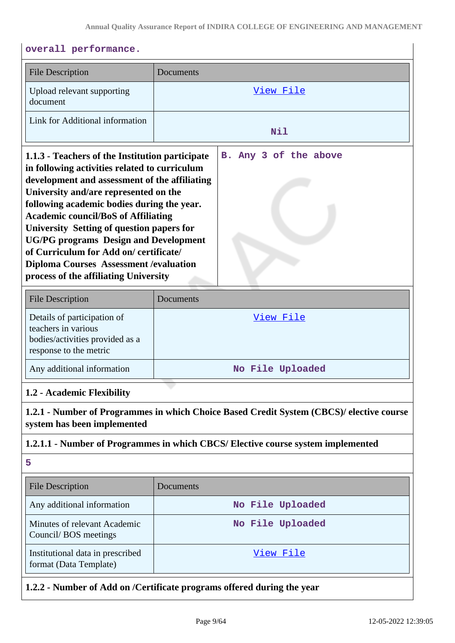| overall performance.                                                                                                                                                                                                                                                                                                                                                                                                                                                                                                    |                                                                        |  |
|-------------------------------------------------------------------------------------------------------------------------------------------------------------------------------------------------------------------------------------------------------------------------------------------------------------------------------------------------------------------------------------------------------------------------------------------------------------------------------------------------------------------------|------------------------------------------------------------------------|--|
| <b>File Description</b>                                                                                                                                                                                                                                                                                                                                                                                                                                                                                                 | Documents                                                              |  |
| Upload relevant supporting<br>document                                                                                                                                                                                                                                                                                                                                                                                                                                                                                  | <u>View File</u>                                                       |  |
| Link for Additional information                                                                                                                                                                                                                                                                                                                                                                                                                                                                                         | <b>Nil</b>                                                             |  |
| 1.1.3 - Teachers of the Institution participate<br>in following activities related to curriculum<br>development and assessment of the affiliating<br>University and/are represented on the<br>following academic bodies during the year.<br><b>Academic council/BoS of Affiliating</b><br>University Setting of question papers for<br><b>UG/PG</b> programs Design and Development<br>of Curriculum for Add on/certificate/<br><b>Diploma Courses Assessment / evaluation</b><br>process of the affiliating University | B. Any 3 of the above                                                  |  |
| <b>File Description</b>                                                                                                                                                                                                                                                                                                                                                                                                                                                                                                 | Documents                                                              |  |
| Details of participation of<br>teachers in various<br>bodies/activities provided as a<br>response to the metric<br>Any additional information                                                                                                                                                                                                                                                                                                                                                                           | <u>View File</u><br>No File Uploaded                                   |  |
| 1.2 - Academic Flexibility                                                                                                                                                                                                                                                                                                                                                                                                                                                                                              |                                                                        |  |
| 1.2.1 - Number of Programmes in which Choice Based Credit System (CBCS)/ elective course<br>system has been implemented                                                                                                                                                                                                                                                                                                                                                                                                 |                                                                        |  |
| 1.2.1.1 - Number of Programmes in which CBCS/ Elective course system implemented                                                                                                                                                                                                                                                                                                                                                                                                                                        |                                                                        |  |
| 5                                                                                                                                                                                                                                                                                                                                                                                                                                                                                                                       |                                                                        |  |
| <b>File Description</b>                                                                                                                                                                                                                                                                                                                                                                                                                                                                                                 | Documents                                                              |  |
| Any additional information                                                                                                                                                                                                                                                                                                                                                                                                                                                                                              | No File Uploaded                                                       |  |
| Minutes of relevant Academic<br>Council/BOS meetings                                                                                                                                                                                                                                                                                                                                                                                                                                                                    | No File Uploaded                                                       |  |
| Institutional data in prescribed<br>format (Data Template)                                                                                                                                                                                                                                                                                                                                                                                                                                                              | View File                                                              |  |
|                                                                                                                                                                                                                                                                                                                                                                                                                                                                                                                         | 1.2.2 - Number of Add on /Certificate programs offered during the year |  |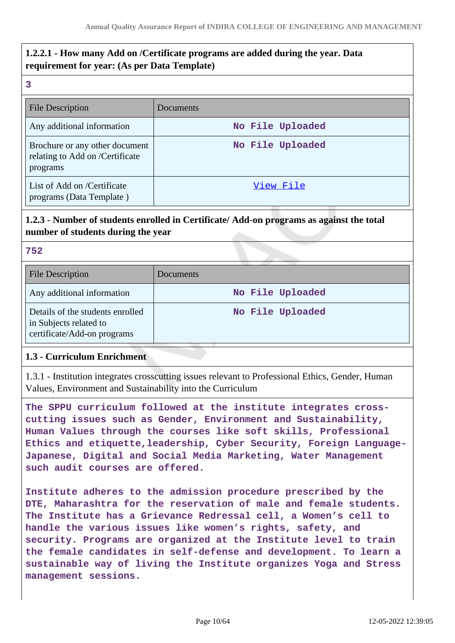# **1.2.2.1 - How many Add on /Certificate programs are added during the year. Data requirement for year: (As per Data Template)**

| <br>÷<br>۰,<br>۰.<br>٩ |    |  |
|------------------------|----|--|
|                        |    |  |
|                        |    |  |
|                        | ۰. |  |

| File Description                                                              | Documents        |
|-------------------------------------------------------------------------------|------------------|
| Any additional information                                                    | No File Uploaded |
| Brochure or any other document<br>relating to Add on /Certificate<br>programs | No File Uploaded |
| List of Add on /Certificate<br>programs (Data Template)                       | View File        |

# **1.2.3 - Number of students enrolled in Certificate/ Add-on programs as against the total number of students during the year**

#### **752**

| File Description                                                                          | Documents        |
|-------------------------------------------------------------------------------------------|------------------|
| Any additional information                                                                | No File Uploaded |
| Details of the students enrolled<br>in Subjects related to<br>certificate/Add-on programs | No File Uploaded |

### **1.3 - Curriculum Enrichment**

1.3.1 - Institution integrates crosscutting issues relevant to Professional Ethics, Gender, Human Values, Environment and Sustainability into the Curriculum

**The SPPU curriculum followed at the institute integrates crosscutting issues such as Gender, Environment and Sustainability, Human Values through the courses like soft skills, Professional Ethics and etiquette,leadership, Cyber Security, Foreign Language-Japanese, Digital and Social Media Marketing, Water Management such audit courses are offered.**

**Institute adheres to the admission procedure prescribed by the DTE, Maharashtra for the reservation of male and female students. The Institute has a Grievance Redressal cell, a Women's cell to handle the various issues like women's rights, safety, and security. Programs are organized at the Institute level to train the female candidates in self-defense and development. To learn a sustainable way of living the Institute organizes Yoga and Stress management sessions.**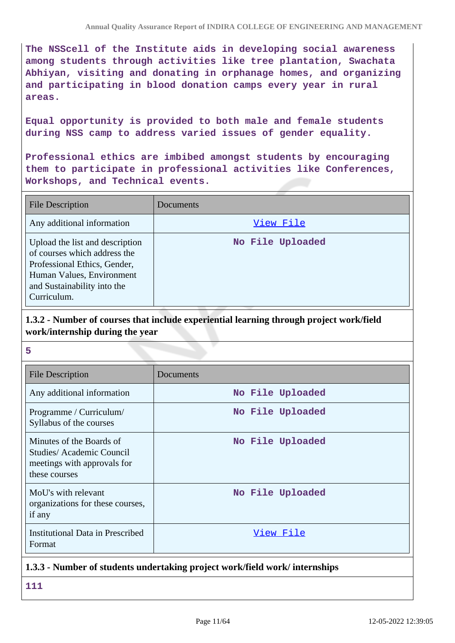**The NSScell of the Institute aids in developing social awareness among students through activities like tree plantation, Swachata Abhiyan, visiting and donating in orphanage homes, and organizing and participating in blood donation camps every year in rural areas.**

**Equal opportunity is provided to both male and female students during NSS camp to address varied issues of gender equality.**

**Professional ethics are imbibed amongst students by encouraging them to participate in professional activities like Conferences, Workshops, and Technical events.**

| <b>File Description</b>                                                                                                                                                    | Documents        |
|----------------------------------------------------------------------------------------------------------------------------------------------------------------------------|------------------|
| Any additional information                                                                                                                                                 | View File        |
| Upload the list and description<br>of courses which address the<br>Professional Ethics, Gender,<br>Human Values, Environment<br>and Sustainability into the<br>Curriculum. | No File Uploaded |

# **1.3.2 - Number of courses that include experiential learning through project work/field work/internship during the year**

**5**

| <b>File Description</b>                                                                              | Documents        |
|------------------------------------------------------------------------------------------------------|------------------|
| Any additional information                                                                           | No File Uploaded |
| Programme / Curriculum/<br>Syllabus of the courses                                                   | No File Uploaded |
| Minutes of the Boards of<br>Studies/Academic Council<br>meetings with approvals for<br>these courses | No File Uploaded |
| MoU's with relevant<br>organizations for these courses,<br>if any                                    | No File Uploaded |
| Institutional Data in Prescribed<br>Format                                                           | <u>View File</u> |

### **1.3.3 - Number of students undertaking project work/field work/ internships**

**111**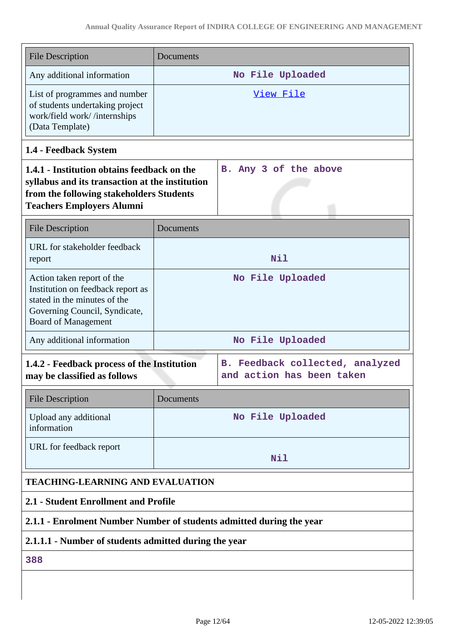| <b>File Description</b>                                                                                                                                                        | Documents        |                       |  |
|--------------------------------------------------------------------------------------------------------------------------------------------------------------------------------|------------------|-----------------------|--|
| Any additional information                                                                                                                                                     | No File Uploaded |                       |  |
| List of programmes and number<br>of students undertaking project<br>work/field work//internships<br>(Data Template)                                                            | View File        |                       |  |
| 1.4 - Feedback System                                                                                                                                                          |                  |                       |  |
| 1.4.1 - Institution obtains feedback on the<br>syllabus and its transaction at the institution<br>from the following stakeholders Students<br><b>Teachers Employers Alumni</b> |                  | B. Any 3 of the above |  |
| <b>File Description</b>                                                                                                                                                        | Documents        |                       |  |
| URL for stakeholder feedback<br>report                                                                                                                                         | Nil              |                       |  |
| Action taken report of the<br>Institution on feedback report as<br>stated in the minutes of the<br>Governing Council, Syndicate,<br><b>Board of Management</b>                 | No File Uploaded |                       |  |
| Any additional information                                                                                                                                                     | No File Uploaded |                       |  |
| 1.4.2 - Feedback process of the Institution<br>B. Feedback collected, analyzed<br>may be classified as follows<br>and action has been taken                                    |                  |                       |  |
| <b>File Description</b>                                                                                                                                                        | Documents        |                       |  |
| Upload any additional<br>information                                                                                                                                           | No File Uploaded |                       |  |
| URL for feedback report                                                                                                                                                        | Nil              |                       |  |
| <b>TEACHING-LEARNING AND EVALUATION</b>                                                                                                                                        |                  |                       |  |
| 2.1 - Student Enrollment and Profile                                                                                                                                           |                  |                       |  |
| 2.1.1 - Enrolment Number Number of students admitted during the year                                                                                                           |                  |                       |  |
| 2.1.1.1 - Number of students admitted during the year                                                                                                                          |                  |                       |  |
| 388                                                                                                                                                                            |                  |                       |  |
|                                                                                                                                                                                |                  |                       |  |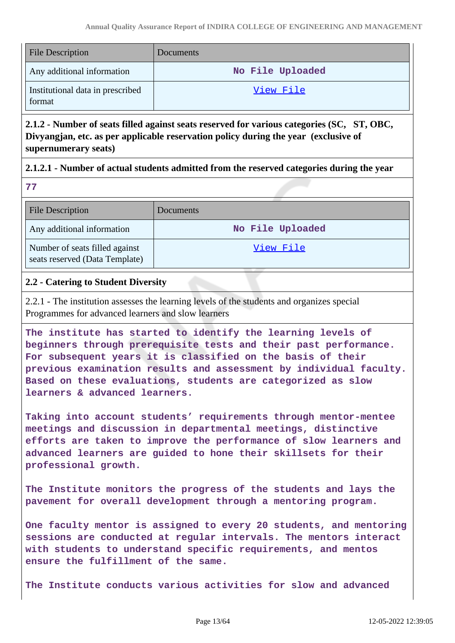| <b>File Description</b>                    | <b>Documents</b> |
|--------------------------------------------|------------------|
| Any additional information                 | No File Uploaded |
| Institutional data in prescribed<br>format | View File        |

**2.1.2 - Number of seats filled against seats reserved for various categories (SC, ST, OBC, Divyangjan, etc. as per applicable reservation policy during the year (exclusive of supernumerary seats)**

### **2.1.2.1 - Number of actual students admitted from the reserved categories during the year**

**77**

| <b>File Description</b>                                          | Documents        |
|------------------------------------------------------------------|------------------|
| Any additional information                                       | No File Uploaded |
| Number of seats filled against<br>seats reserved (Data Template) | View File        |

### **2.2 - Catering to Student Diversity**

2.2.1 - The institution assesses the learning levels of the students and organizes special Programmes for advanced learners and slow learners

**The institute has started to identify the learning levels of beginners through prerequisite tests and their past performance. For subsequent years it is classified on the basis of their previous examination results and assessment by individual faculty. Based on these evaluations, students are categorized as slow learners & advanced learners.**

**Taking into account students' requirements through mentor-mentee meetings and discussion in departmental meetings, distinctive efforts are taken to improve the performance of slow learners and advanced learners are guided to hone their skillsets for their professional growth.**

**The Institute monitors the progress of the students and lays the pavement for overall development through a mentoring program.**

**One faculty mentor is assigned to every 20 students, and mentoring sessions are conducted at regular intervals. The mentors interact with students to understand specific requirements, and mentos ensure the fulfillment of the same.**

**The Institute conducts various activities for slow and advanced**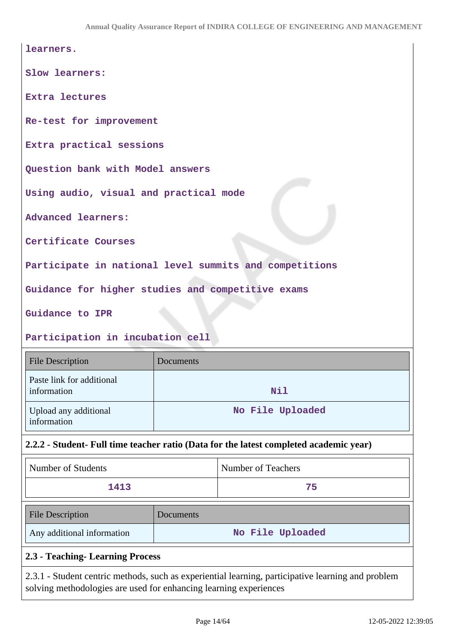| learners.                                              |
|--------------------------------------------------------|
| Slow learners:                                         |
| <b>Extra lectures</b>                                  |
| Re-test for improvement                                |
| Extra practical sessions                               |
| Question bank with Model answers                       |
| Using audio, visual and practical mode                 |
| <b>Advanced learners:</b>                              |
| Certificate Courses                                    |
| Participate in national level summits and competitions |
| Guidance for higher studies and competitive exams      |
| Guidance to IPR                                        |

**Participation in incubation cell**

| <b>File Description</b>                  | Documents        |
|------------------------------------------|------------------|
| Paste link for additional<br>information | <b>Nil</b>       |
| Upload any additional<br>information     | No File Uploaded |

# **2.2.2 - Student- Full time teacher ratio (Data for the latest completed academic year)**

| Number of Students         |           | Number of Teachers |
|----------------------------|-----------|--------------------|
| 1413                       |           | 75                 |
| <b>File Description</b>    | Documents |                    |
| Any additional information |           | No File Uploaded   |

# **2.3 - Teaching- Learning Process**

2.3.1 - Student centric methods, such as experiential learning, participative learning and problem solving methodologies are used for enhancing learning experiences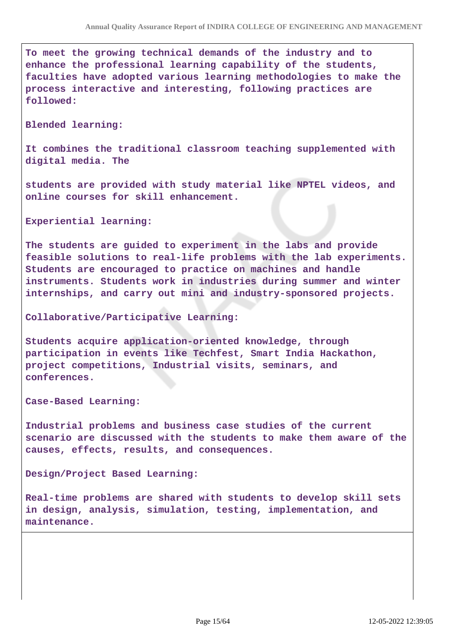**To meet the growing technical demands of the industry and to enhance the professional learning capability of the students, faculties have adopted various learning methodologies to make the process interactive and interesting, following practices are followed:**

**Blended learning:**

**It combines the traditional classroom teaching supplemented with digital media. The**

**students are provided with study material like NPTEL videos, and online courses for skill enhancement.**

**Experiential learning:**

**The students are guided to experiment in the labs and provide feasible solutions to real-life problems with the lab experiments. Students are encouraged to practice on machines and handle instruments. Students work in industries during summer and winter internships, and carry out mini and industry-sponsored projects.**

**Collaborative/Participative Learning:**

**Students acquire application-oriented knowledge, through participation in events like Techfest, Smart India Hackathon, project competitions, Industrial visits, seminars, and conferences.**

**Case-Based Learning:**

**Industrial problems and business case studies of the current scenario are discussed with the students to make them aware of the causes, effects, results, and consequences.**

**Design/Project Based Learning:**

**Real-time problems are shared with students to develop skill sets in design, analysis, simulation, testing, implementation, and maintenance.**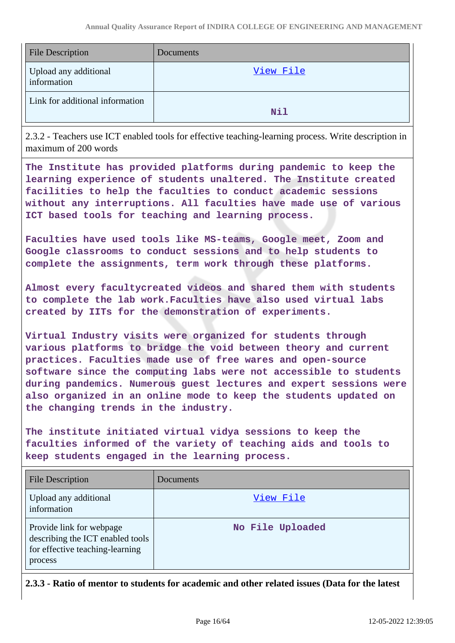| <b>File Description</b>              | Documents |
|--------------------------------------|-----------|
| Upload any additional<br>information | View File |
| Link for additional information      | Nil       |

2.3.2 - Teachers use ICT enabled tools for effective teaching-learning process. Write description in maximum of 200 words

**The Institute has provided platforms during pandemic to keep the learning experience of students unaltered. The Institute created facilities to help the faculties to conduct academic sessions without any interruptions. All faculties have made use of various ICT based tools for teaching and learning process.**

**Faculties have used tools like MS-teams, Google meet, Zoom and Google classrooms to conduct sessions and to help students to complete the assignments, term work through these platforms.**

**Almost every facultycreated videos and shared them with students to complete the lab work.Faculties have also used virtual labs created by IITs for the demonstration of experiments.**

**Virtual Industry visits were organized for students through various platforms to bridge the void between theory and current practices. Faculties made use of free wares and open-source software since the computing labs were not accessible to students during pandemics. Numerous guest lectures and expert sessions were also organized in an online mode to keep the students updated on the changing trends in the industry.**

**The institute initiated virtual vidya sessions to keep the faculties informed of the variety of teaching aids and tools to keep students engaged in the learning process.**

| <b>File Description</b>                                                                                    | Documents        |
|------------------------------------------------------------------------------------------------------------|------------------|
| Upload any additional<br>information                                                                       | View File        |
| Provide link for webpage<br>describing the ICT enabled tools<br>for effective teaching-learning<br>process | No File Uploaded |

**2.3.3 - Ratio of mentor to students for academic and other related issues (Data for the latest**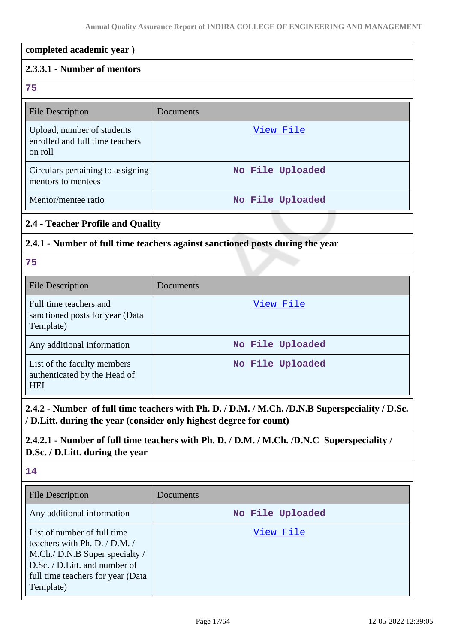# **completed academic year ) 2.3.3.1 - Number of mentors 75** File Description Documents Upload, number of students enrolled and full time teachers on roll [View File](https://assessmentonline.naac.gov.in/storage/app/public/aqar/19883/19883_112_263.xlsx?1652339343) Circulars pertaining to assigning mentors to mentees **No File Uploaded** Mentor/mentee ratio **No File Uploaded 2.4 - Teacher Profile and Quality 2.4.1 - Number of full time teachers against sanctioned posts during the year 75** File Description Documents Full time teachers and sanctioned posts for year (Data Template) [View File](https://assessmentonline.naac.gov.in/storage/app/public/aqar/19883/19883_113_266.xlsx?1652339343) Any additional information **No File Uploaded** List of the faculty members authenticated by the Head of **HEI No File Uploaded**

**2.4.2 - Number of full time teachers with Ph. D. / D.M. / M.Ch. /D.N.B Superspeciality / D.Sc. / D.Litt. during the year (consider only highest degree for count)**

# **2.4.2.1 - Number of full time teachers with Ph. D. / D.M. / M.Ch. /D.N.C Superspeciality / D.Sc. / D.Litt. during the year**

# **14**

| <b>File Description</b>                                                                                                                                                           | Documents        |
|-----------------------------------------------------------------------------------------------------------------------------------------------------------------------------------|------------------|
| Any additional information                                                                                                                                                        | No File Uploaded |
| List of number of full time<br>teachers with Ph. D. / D.M. /<br>M.Ch./ D.N.B Super specialty /<br>D.Sc. / D.Litt. and number of<br>full time teachers for year (Data<br>Template) | View File        |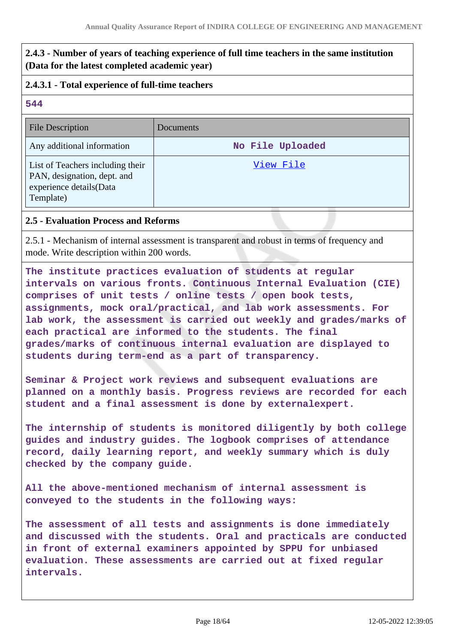# **2.4.3 - Number of years of teaching experience of full time teachers in the same institution (Data for the latest completed academic year)**

## **2.4.3.1 - Total experience of full-time teachers**

### **544**

| <b>File Description</b>                                                                                 | Documents        |
|---------------------------------------------------------------------------------------------------------|------------------|
| Any additional information                                                                              | No File Uploaded |
| List of Teachers including their<br>PAN, designation, dept. and<br>experience details(Data<br>Template) | View File        |

### **2.5 - Evaluation Process and Reforms**

2.5.1 - Mechanism of internal assessment is transparent and robust in terms of frequency and mode. Write description within 200 words.

**The institute practices evaluation of students at regular intervals on various fronts. Continuous Internal Evaluation (CIE) comprises of unit tests / online tests / open book tests, assignments, mock oral/practical, and lab work assessments. For lab work, the assessment is carried out weekly and grades/marks of each practical are informed to the students. The final grades/marks of continuous internal evaluation are displayed to students during term-end as a part of transparency.**

**Seminar & Project work reviews and subsequent evaluations are planned on a monthly basis. Progress reviews are recorded for each student and a final assessment is done by externalexpert.**

**The internship of students is monitored diligently by both college guides and industry guides. The logbook comprises of attendance record, daily learning report, and weekly summary which is duly checked by the company guide.**

**All the above-mentioned mechanism of internal assessment is conveyed to the students in the following ways:**

**The assessment of all tests and assignments is done immediately and discussed with the students. Oral and practicals are conducted in front of external examiners appointed by SPPU for unbiased evaluation. These assessments are carried out at fixed regular intervals.**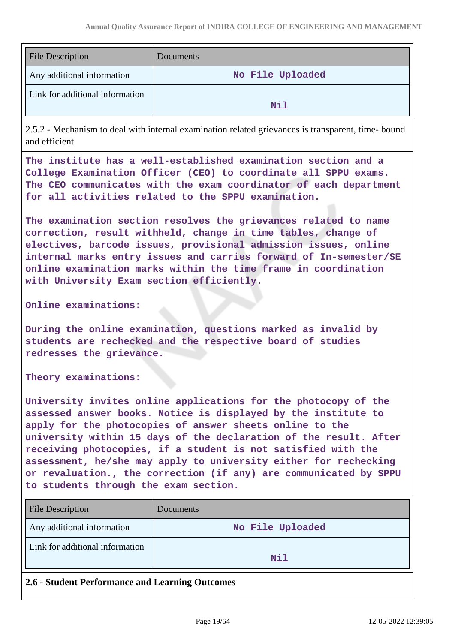| <b>File Description</b>         | Documents        |
|---------------------------------|------------------|
| Any additional information      | No File Uploaded |
| Link for additional information | N11              |

2.5.2 - Mechanism to deal with internal examination related grievances is transparent, time- bound and efficient

**The institute has a well-established examination section and a College Examination Officer (CEO) to coordinate all SPPU exams. The CEO communicates with the exam coordinator of each department for all activities related to the SPPU examination.**

**The examination section resolves the grievances related to name correction, result withheld, change in time tables, change of electives, barcode issues, provisional admission issues, online internal marks entry issues and carries forward of In-semester/SE online examination marks within the time frame in coordination with University Exam section efficiently.**

#### **Online examinations:**

**During the online examination, questions marked as invalid by students are rechecked and the respective board of studies redresses the grievance.**

**Theory examinations:**

**University invites online applications for the photocopy of the assessed answer books. Notice is displayed by the institute to apply for the photocopies of answer sheets online to the university within 15 days of the declaration of the result. After receiving photocopies, if a student is not satisfied with the assessment, he/she may apply to university either for rechecking or revaluation., the correction (if any) are communicated by SPPU to students through the exam section.**

| <b>File Description</b>         | Documents        |
|---------------------------------|------------------|
| Any additional information      | No File Uploaded |
| Link for additional information | Nil              |

### **2.6 - Student Performance and Learning Outcomes**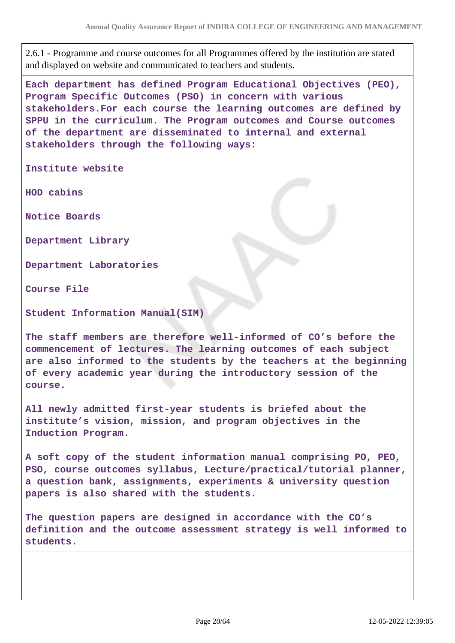2.6.1 - Programme and course outcomes for all Programmes offered by the institution are stated and displayed on website and communicated to teachers and students.

**Each department has defined Program Educational Objectives (PEO), Program Specific Outcomes (PSO) in concern with various stakeholders.For each course the learning outcomes are defined by SPPU in the curriculum. The Program outcomes and Course outcomes of the department are disseminated to internal and external stakeholders through the following ways:**

**Institute website**

**HOD cabins**

**Notice Boards**

**Department Library**

**Department Laboratories**

**Course File**

**Student Information Manual(SIM)**

**The staff members are therefore well-informed of CO's before the commencement of lectures. The learning outcomes of each subject are also informed to the students by the teachers at the beginning of every academic year during the introductory session of the course.**

**All newly admitted first-year students is briefed about the institute's vision, mission, and program objectives in the Induction Program.**

**A soft copy of the student information manual comprising PO, PEO, PSO, course outcomes syllabus, Lecture/practical/tutorial planner, a question bank, assignments, experiments & university question papers is also shared with the students.**

**The question papers are designed in accordance with the CO's definition and the outcome assessment strategy is well informed to students.**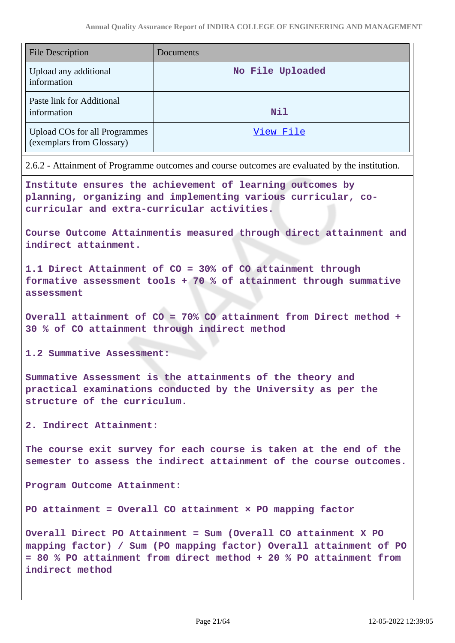| <b>File Description</b>                                           | Documents        |
|-------------------------------------------------------------------|------------------|
| Upload any additional<br>information                              | No File Uploaded |
| Paste link for Additional<br>information                          | <b>Nil</b>       |
| <b>Upload COs for all Programmes</b><br>(exemplars from Glossary) | View File        |

2.6.2 - Attainment of Programme outcomes and course outcomes are evaluated by the institution.

**Institute ensures the achievement of learning outcomes by planning, organizing and implementing various curricular, cocurricular and extra-curricular activities.**

**Course Outcome Attainmentis measured through direct attainment and indirect attainment.**

**1.1 Direct Attainment of CO = 30% of CO attainment through formative assessment tools + 70 % of attainment through summative assessment**

**Overall attainment of CO = 70% CO attainment from Direct method + 30 % of CO attainment through indirect method**

**1.2 Summative Assessment:**

**Summative Assessment is the attainments of the theory and practical examinations conducted by the University as per the structure of the curriculum.**

**2. Indirect Attainment:**

**The course exit survey for each course is taken at the end of the semester to assess the indirect attainment of the course outcomes.**

**Program Outcome Attainment:**

**PO attainment = Overall CO attainment × PO mapping factor**

**Overall Direct PO Attainment = Sum (Overall CO attainment X PO mapping factor) / Sum (PO mapping factor) Overall attainment of PO = 80 % PO attainment from direct method + 20 % PO attainment from indirect method**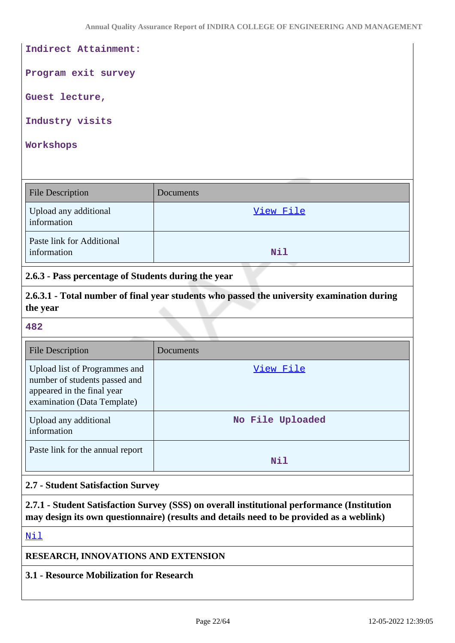### **Indirect Attainment:**

**Program exit survey**

**Guest lecture,**

**Industry visits**

#### **Workshops**

| <b>File Description</b>                  | Documents  |
|------------------------------------------|------------|
| Upload any additional<br>information     | View File  |
| Paste link for Additional<br>information | <b>Nil</b> |

**2.6.3 - Pass percentage of Students during the year**

**2.6.3.1 - Total number of final year students who passed the university examination during the year**

#### **482**

| <b>File Description</b>                                                                                                     | Documents        |
|-----------------------------------------------------------------------------------------------------------------------------|------------------|
| Upload list of Programmes and<br>number of students passed and<br>appeared in the final year<br>examination (Data Template) | View File        |
| Upload any additional<br>information                                                                                        | No File Uploaded |
| Paste link for the annual report                                                                                            | Nil              |

### **2.7 - Student Satisfaction Survey**

**2.7.1 - Student Satisfaction Survey (SSS) on overall institutional performance (Institution may design its own questionnaire) (results and details need to be provided as a weblink)**

<Nil>

### **RESEARCH, INNOVATIONS AND EXTENSION**

**3.1 - Resource Mobilization for Research**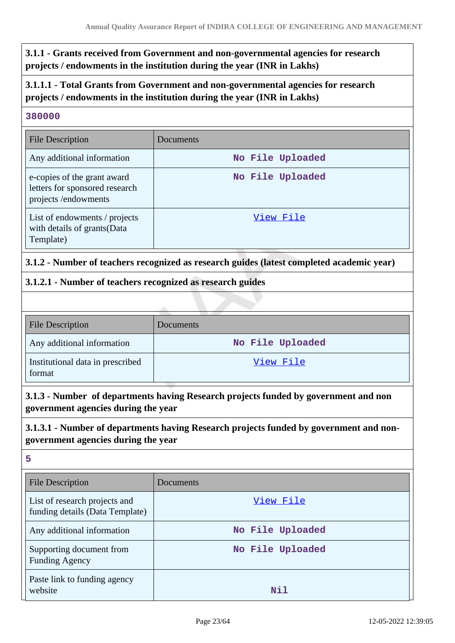**3.1.1 - Grants received from Government and non-governmental agencies for research projects / endowments in the institution during the year (INR in Lakhs)**

**3.1.1.1 - Total Grants from Government and non-governmental agencies for research projects / endowments in the institution during the year (INR in Lakhs)**

### **380000**

| <b>File Description</b>                                                              | <b>Documents</b> |
|--------------------------------------------------------------------------------------|------------------|
| Any additional information                                                           | No File Uploaded |
| e-copies of the grant award<br>letters for sponsored research<br>projects/endowments | No File Uploaded |
| List of endowments / projects<br>with details of grants(Data<br>Template)            | View File        |

# **3.1.2 - Number of teachers recognized as research guides (latest completed academic year)**

### **3.1.2.1 - Number of teachers recognized as research guides**

| <b>File Description</b>                    | Documents        |
|--------------------------------------------|------------------|
| Any additional information                 | No File Uploaded |
| Institutional data in prescribed<br>format | View File        |

**3.1.3 - Number of departments having Research projects funded by government and non government agencies during the year**

# **3.1.3.1 - Number of departments having Research projects funded by government and nongovernment agencies during the year**

**5**

| <b>File Description</b>                                          | Documents        |
|------------------------------------------------------------------|------------------|
| List of research projects and<br>funding details (Data Template) | View File        |
| Any additional information                                       | No File Uploaded |
| Supporting document from<br><b>Funding Agency</b>                | No File Uploaded |
| Paste link to funding agency<br>website                          | Nil              |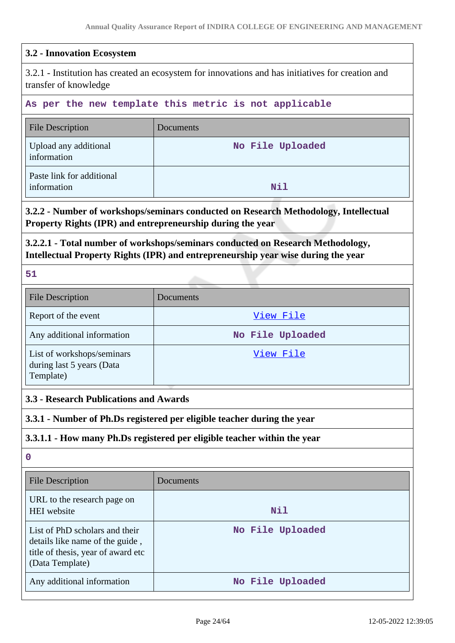### **3.2 - Innovation Ecosystem**

3.2.1 - Institution has created an ecosystem for innovations and has initiatives for creation and transfer of knowledge

#### **As per the new template this metric is not applicable**

| <b>File Description</b>                  | Documents        |
|------------------------------------------|------------------|
| Upload any additional<br>information     | No File Uploaded |
| Paste link for additional<br>information | Nil              |

### **3.2.2 - Number of workshops/seminars conducted on Research Methodology, Intellectual Property Rights (IPR) and entrepreneurship during the year**

**3.2.2.1 - Total number of workshops/seminars conducted on Research Methodology, Intellectual Property Rights (IPR) and entrepreneurship year wise during the year**

**51**

| <b>File Description</b>                                              | Documents        |
|----------------------------------------------------------------------|------------------|
| Report of the event                                                  | View File        |
| Any additional information                                           | No File Uploaded |
| List of workshops/seminars<br>during last 5 years (Data<br>Template) | View File        |

### **3.3 - Research Publications and Awards**

**3.3.1 - Number of Ph.Ds registered per eligible teacher during the year**

### **3.3.1.1 - How many Ph.Ds registered per eligible teacher within the year**

**0**

| <b>File Description</b>                                                                                                    | Documents        |
|----------------------------------------------------------------------------------------------------------------------------|------------------|
| URL to the research page on<br><b>HEI</b> website                                                                          | Nil              |
| List of PhD scholars and their<br>details like name of the guide,<br>title of thesis, year of award etc<br>(Data Template) | No File Uploaded |
| Any additional information                                                                                                 | No File Uploaded |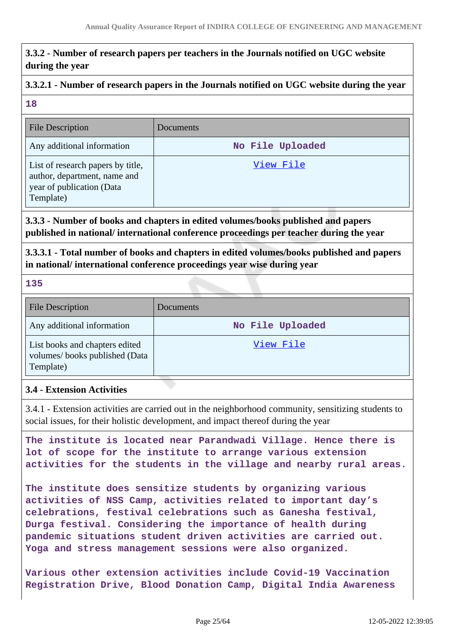# **3.3.2 - Number of research papers per teachers in the Journals notified on UGC website during the year**

# **3.3.2.1 - Number of research papers in the Journals notified on UGC website during the year**

### **18**

| <b>File Description</b>                                                                                     | Documents        |
|-------------------------------------------------------------------------------------------------------------|------------------|
| Any additional information                                                                                  | No File Uploaded |
| List of research papers by title,<br>author, department, name and<br>year of publication (Data<br>Template) | View File        |

**3.3.3 - Number of books and chapters in edited volumes/books published and papers published in national/ international conference proceedings per teacher during the year**

**3.3.3.1 - Total number of books and chapters in edited volumes/books published and papers in national/ international conference proceedings year wise during year**

**135**

| <b>File Description</b>                                                      | Documents        |
|------------------------------------------------------------------------------|------------------|
| Any additional information                                                   | No File Uploaded |
| List books and chapters edited<br>volumes/books published (Data<br>Template) | View File        |

# **3.4 - Extension Activities**

3.4.1 - Extension activities are carried out in the neighborhood community, sensitizing students to social issues, for their holistic development, and impact thereof during the year

**The institute is located near Parandwadi Village. Hence there is lot of scope for the institute to arrange various extension activities for the students in the village and nearby rural areas.**

**The institute does sensitize students by organizing various activities of NSS Camp, activities related to important day's celebrations, festival celebrations such as Ganesha festival, Durga festival. Considering the importance of health during pandemic situations student driven activities are carried out. Yoga and stress management sessions were also organized.**

**Various other extension activities include Covid-19 Vaccination Registration Drive, Blood Donation Camp, Digital India Awareness**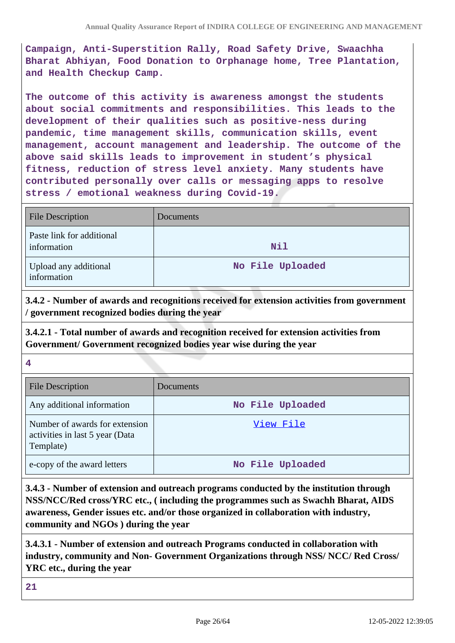**Campaign, Anti-Superstition Rally, Road Safety Drive, Swaachha Bharat Abhiyan, Food Donation to Orphanage home, Tree Plantation, and Health Checkup Camp.**

**The outcome of this activity is awareness amongst the students about social commitments and responsibilities. This leads to the development of their qualities such as positive-ness during pandemic, time management skills, communication skills, event management, account management and leadership. The outcome of the above said skills leads to improvement in student's physical fitness, reduction of stress level anxiety. Many students have contributed personally over calls or messaging apps to resolve stress / emotional weakness during Covid-19.**

| <b>File Description</b>                  | Documents        |
|------------------------------------------|------------------|
| Paste link for additional<br>information | <b>Nil</b>       |
| Upload any additional<br>information     | No File Uploaded |

**3.4.2 - Number of awards and recognitions received for extension activities from government / government recognized bodies during the year**

**3.4.2.1 - Total number of awards and recognition received for extension activities from Government/ Government recognized bodies year wise during the year**

**4**

| <b>File Description</b>                                                        | Documents        |
|--------------------------------------------------------------------------------|------------------|
| Any additional information                                                     | No File Uploaded |
| Number of awards for extension<br>activities in last 5 year (Data<br>Template) | View File        |
| e-copy of the award letters                                                    | No File Uploaded |

**3.4.3 - Number of extension and outreach programs conducted by the institution through NSS/NCC/Red cross/YRC etc., ( including the programmes such as Swachh Bharat, AIDS awareness, Gender issues etc. and/or those organized in collaboration with industry, community and NGOs ) during the year**

**3.4.3.1 - Number of extension and outreach Programs conducted in collaboration with industry, community and Non- Government Organizations through NSS/ NCC/ Red Cross/ YRC etc., during the year**

**21**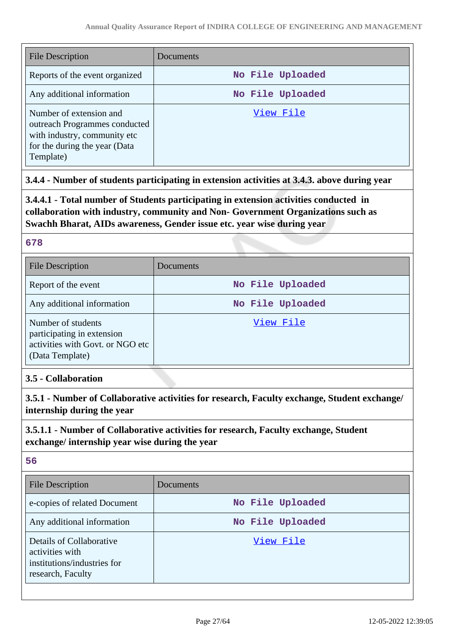| File Description                                                                                                                       | Documents        |
|----------------------------------------------------------------------------------------------------------------------------------------|------------------|
| Reports of the event organized                                                                                                         | No File Uploaded |
| Any additional information                                                                                                             | No File Uploaded |
| Number of extension and<br>outreach Programmes conducted<br>with industry, community etc<br>for the during the year (Data<br>Template) | View File        |

# **3.4.4 - Number of students participating in extension activities at 3.4.3. above during year**

**3.4.4.1 - Total number of Students participating in extension activities conducted in collaboration with industry, community and Non- Government Organizations such as Swachh Bharat, AIDs awareness, Gender issue etc. year wise during year**

### **678**

| <b>File Description</b>                                                                                 | Documents        |
|---------------------------------------------------------------------------------------------------------|------------------|
| Report of the event                                                                                     | No File Uploaded |
| Any additional information                                                                              | No File Uploaded |
| Number of students<br>participating in extension<br>activities with Govt. or NGO etc<br>(Data Template) | View File        |

# **3.5 - Collaboration**

**3.5.1 - Number of Collaborative activities for research, Faculty exchange, Student exchange/ internship during the year**

# **3.5.1.1 - Number of Collaborative activities for research, Faculty exchange, Student exchange/ internship year wise during the year**

### **56**

| <b>File Description</b>                                                                         | Documents        |
|-------------------------------------------------------------------------------------------------|------------------|
| e-copies of related Document                                                                    | No File Uploaded |
| Any additional information                                                                      | No File Uploaded |
| Details of Collaborative<br>activities with<br>institutions/industries for<br>research, Faculty | View File        |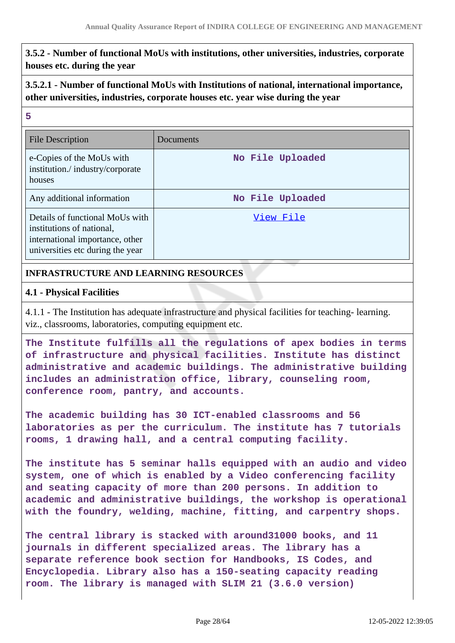**3.5.2 - Number of functional MoUs with institutions, other universities, industries, corporate houses etc. during the year**

# **3.5.2.1 - Number of functional MoUs with Institutions of national, international importance, other universities, industries, corporate houses etc. year wise during the year**

### **5**

| File Description                                                                                                                    | Documents        |
|-------------------------------------------------------------------------------------------------------------------------------------|------------------|
| e-Copies of the MoUs with<br>institution./industry/corporate<br>houses                                                              | No File Uploaded |
| Any additional information                                                                                                          | No File Uploaded |
| Details of functional MoUs with<br>institutions of national,<br>international importance, other<br>universities etc during the year | View File        |

### **INFRASTRUCTURE AND LEARNING RESOURCES**

### **4.1 - Physical Facilities**

4.1.1 - The Institution has adequate infrastructure and physical facilities for teaching- learning. viz., classrooms, laboratories, computing equipment etc.

**The Institute fulfills all the regulations of apex bodies in terms of infrastructure and physical facilities. Institute has distinct administrative and academic buildings. The administrative building includes an administration office, library, counseling room, conference room, pantry, and accounts.**

**The academic building has 30 ICT-enabled classrooms and 56 laboratories as per the curriculum. The institute has 7 tutorials rooms, 1 drawing hall, and a central computing facility.**

**The institute has 5 seminar halls equipped with an audio and video system, one of which is enabled by a Video conferencing facility and seating capacity of more than 200 persons. In addition to academic and administrative buildings, the workshop is operational with the foundry, welding, machine, fitting, and carpentry shops.**

**The central library is stacked with around31000 books, and 11 journals in different specialized areas. The library has a separate reference book section for Handbooks, IS Codes, and Encyclopedia. Library also has a 150-seating capacity reading room. The library is managed with SLIM 21 (3.6.0 version)**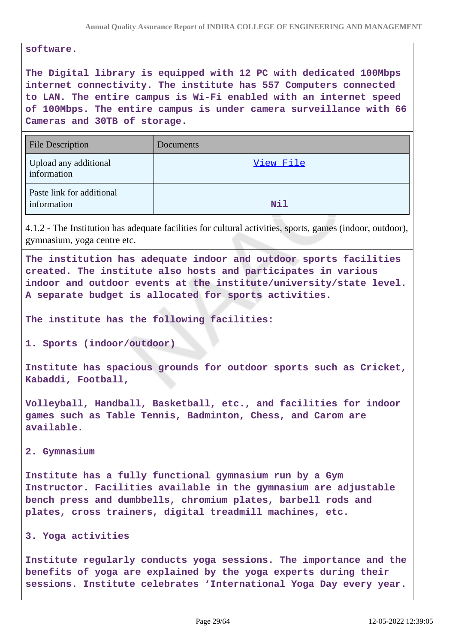**software.**

**The Digital library is equipped with 12 PC with dedicated 100Mbps internet connectivity. The institute has 557 Computers connected to LAN. The entire campus is Wi-Fi enabled with an internet speed of 100Mbps. The entire campus is under camera surveillance with 66 Cameras and 30TB of storage.**

| <b>File Description</b>                  | Documents  |
|------------------------------------------|------------|
| Upload any additional<br>information     | View File  |
| Paste link for additional<br>information | <b>Nil</b> |

4.1.2 - The Institution has adequate facilities for cultural activities, sports, games (indoor, outdoor), gymnasium, yoga centre etc.

**The institution has adequate indoor and outdoor sports facilities created. The institute also hosts and participates in various indoor and outdoor events at the institute/university/state level. A separate budget is allocated for sports activities.**

**The institute has the following facilities:**

**1. Sports (indoor/outdoor)**

**Institute has spacious grounds for outdoor sports such as Cricket, Kabaddi, Football,**

**Volleyball, Handball, Basketball, etc., and facilities for indoor games such as Table Tennis, Badminton, Chess, and Carom are available.**

**2. Gymnasium**

**Institute has a fully functional gymnasium run by a Gym Instructor. Facilities available in the gymnasium are adjustable bench press and dumbbells, chromium plates, barbell rods and plates, cross trainers, digital treadmill machines, etc.**

```
3. Yoga activities
```
**Institute regularly conducts yoga sessions. The importance and the benefits of yoga are explained by the yoga experts during their sessions. Institute celebrates 'International Yoga Day every year.**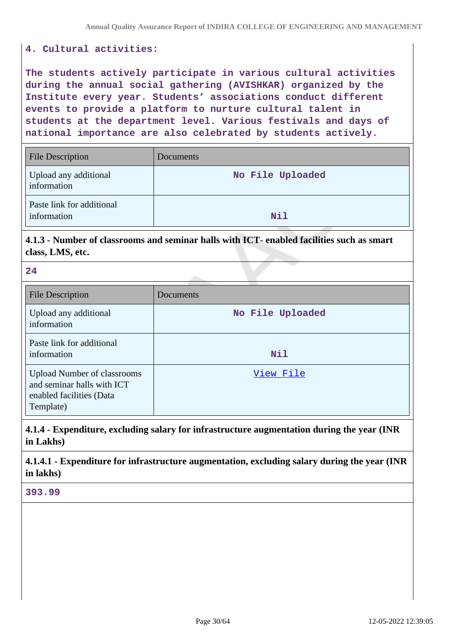### **4. Cultural activities:**

**The students actively participate in various cultural activities during the annual social gathering (AVISHKAR) organized by the Institute every year. Students' associations conduct different events to provide a platform to nurture cultural talent in students at the department level. Various festivals and days of national importance are also celebrated by students actively.**

| <b>File Description</b>                  | Documents        |
|------------------------------------------|------------------|
| Upload any additional<br>information     | No File Uploaded |
| Paste link for additional<br>information | <b>Nil</b>       |

**4.1.3 - Number of classrooms and seminar halls with ICT- enabled facilities such as smart class, LMS, etc.**

**24**

| <b>File Description</b>                                                                                   | Documents        |
|-----------------------------------------------------------------------------------------------------------|------------------|
| Upload any additional<br>information                                                                      | No File Uploaded |
| Paste link for additional<br>information                                                                  | <b>Nil</b>       |
| <b>Upload Number of classrooms</b><br>and seminar halls with ICT<br>enabled facilities (Data<br>Template) | View File        |

**4.1.4 - Expenditure, excluding salary for infrastructure augmentation during the year (INR in Lakhs)**

**4.1.4.1 - Expenditure for infrastructure augmentation, excluding salary during the year (INR in lakhs)**

**393.99**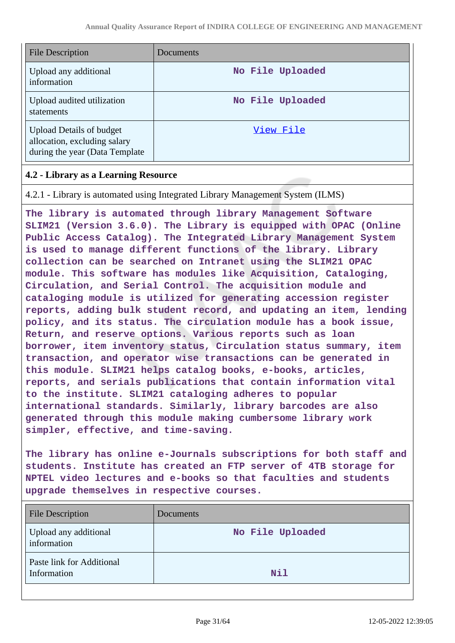| <b>File Description</b>                                                                            | Documents        |
|----------------------------------------------------------------------------------------------------|------------------|
| Upload any additional<br>information                                                               | No File Uploaded |
| Upload audited utilization<br>statements                                                           | No File Uploaded |
| <b>Upload Details of budget</b><br>allocation, excluding salary<br>during the year (Data Template) | View File        |

### **4.2 - Library as a Learning Resource**

4.2.1 - Library is automated using Integrated Library Management System (ILMS)

**The library is automated through library Management Software SLIM21 (Version 3.6.0). The Library is equipped with OPAC (Online Public Access Catalog). The Integrated Library Management System is used to manage different functions of the library. Library collection can be searched on Intranet using the SLIM21 OPAC module. This software has modules like Acquisition, Cataloging, Circulation, and Serial Control. The acquisition module and cataloging module is utilized for generating accession register reports, adding bulk student record, and updating an item, lending policy, and its status. The circulation module has a book issue, Return, and reserve options. Various reports such as loan borrower, item inventory status, Circulation status summary, item transaction, and operator wise transactions can be generated in this module. SLIM21 helps catalog books, e-books, articles, reports, and serials publications that contain information vital to the institute. SLIM21 cataloging adheres to popular international standards. Similarly, library barcodes are also generated through this module making cumbersome library work simpler, effective, and time-saving.**

**The library has online e-Journals subscriptions for both staff and students. Institute has created an FTP server of 4TB storage for NPTEL video lectures and e-books so that faculties and students upgrade themselves in respective courses.**

| <b>File Description</b>                  | Documents        |
|------------------------------------------|------------------|
| Upload any additional<br>information     | No File Uploaded |
| Paste link for Additional<br>Information | <b>Nil</b>       |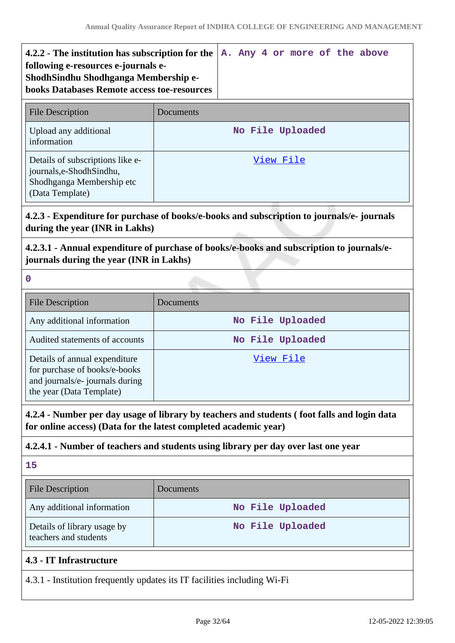| 4.2.2 - The institution has subscription for the<br>following e-resources e-journals e-<br>ShodhSindhu Shodhganga Membership e-<br><b>books Databases Remote access toe-resources</b> | A. Any 4 or more of the above |
|---------------------------------------------------------------------------------------------------------------------------------------------------------------------------------------|-------------------------------|
| <b>File Description</b>                                                                                                                                                               | Documents                     |
| Upload any additional<br>information                                                                                                                                                  | No File Uploaded              |
| Details of subscriptions like e-<br>journals, e-Shodh Sindhu,<br>Shodhganga Membership etc                                                                                            | View File                     |

# **4.2.3 - Expenditure for purchase of books/e-books and subscription to journals/e- journals during the year (INR in Lakhs)**

# **4.2.3.1 - Annual expenditure of purchase of books/e-books and subscription to journals/ejournals during the year (INR in Lakhs)**

**0**

(Data Template)

| <b>File Description</b>                                                                                                       | Documents        |
|-------------------------------------------------------------------------------------------------------------------------------|------------------|
| Any additional information                                                                                                    | No File Uploaded |
| Audited statements of accounts                                                                                                | No File Uploaded |
| Details of annual expenditure<br>for purchase of books/e-books<br>and journals/e- journals during<br>the year (Data Template) | View File        |

**4.2.4 - Number per day usage of library by teachers and students ( foot falls and login data for online access) (Data for the latest completed academic year)**

# **4.2.4.1 - Number of teachers and students using library per day over last one year**

**15**

| <b>File Description</b>                              | <b>Documents</b> |
|------------------------------------------------------|------------------|
| Any additional information                           | No File Uploaded |
| Details of library usage by<br>teachers and students | No File Uploaded |
| 4.3 - IT Infrastructure                              |                  |

# 4.3.1 - Institution frequently updates its IT facilities including Wi-Fi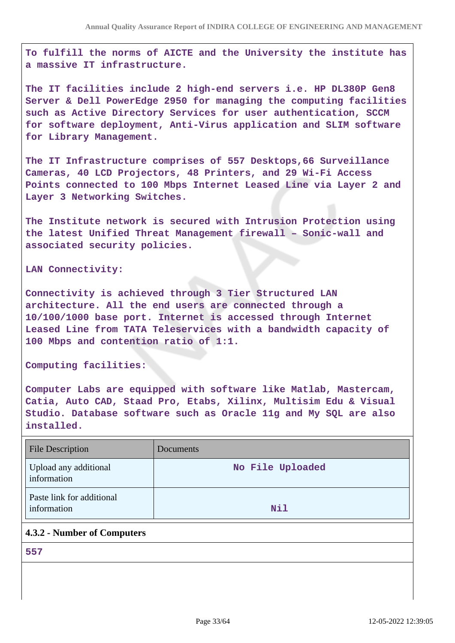**To fulfill the norms of AICTE and the University the institute has a massive IT infrastructure.**

**The IT facilities include 2 high-end servers i.e. HP DL380P Gen8 Server & Dell PowerEdge 2950 for managing the computing facilities such as Active Directory Services for user authentication, SCCM for software deployment, Anti-Virus application and SLIM software for Library Management.**

**The IT Infrastructure comprises of 557 Desktops,66 Surveillance Cameras, 40 LCD Projectors, 48 Printers, and 29 Wi-Fi Access Points connected to 100 Mbps Internet Leased Line via Layer 2 and Layer 3 Networking Switches.**

**The Institute network is secured with Intrusion Protection using the latest Unified Threat Management firewall – Sonic-wall and associated security policies.**

**LAN Connectivity:**

**Connectivity is achieved through 3 Tier Structured LAN architecture. All the end users are connected through a 10/100/1000 base port. Internet is accessed through Internet Leased Line from TATA Teleservices with a bandwidth capacity of 100 Mbps and contention ratio of 1:1.**

**Computing facilities:**

**Computer Labs are equipped with software like Matlab, Mastercam, Catia, Auto CAD, Staad Pro, Etabs, Xilinx, Multisim Edu & Visual Studio. Database software such as Oracle 11g and My SQL are also installed.**

| <b>File Description</b>                  | Documents        |
|------------------------------------------|------------------|
| Upload any additional<br>information     | No File Uploaded |
| Paste link for additional<br>information | <b>Nil</b>       |

### **4.3.2 - Number of Computers**

**557**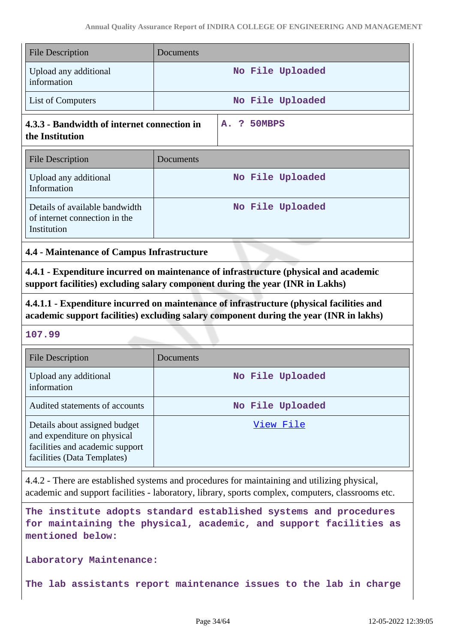| <b>File Description</b>                                                                                                        | Documents                                                                                                                                                                                         |
|--------------------------------------------------------------------------------------------------------------------------------|---------------------------------------------------------------------------------------------------------------------------------------------------------------------------------------------------|
| Upload any additional<br>information                                                                                           | No File Uploaded                                                                                                                                                                                  |
| List of Computers                                                                                                              | No File Uploaded                                                                                                                                                                                  |
| 4.3.3 - Bandwidth of internet connection in<br>the Institution                                                                 | 50MBPS<br>-?<br>А.                                                                                                                                                                                |
| <b>File Description</b>                                                                                                        | Documents                                                                                                                                                                                         |
| Upload any additional<br>Information                                                                                           | No File Uploaded                                                                                                                                                                                  |
| Details of available bandwidth<br>of internet connection in the<br>Institution                                                 | No File Uploaded                                                                                                                                                                                  |
| 4.4 - Maintenance of Campus Infrastructure                                                                                     |                                                                                                                                                                                                   |
|                                                                                                                                | 4.4.1 - Expenditure incurred on maintenance of infrastructure (physical and academic<br>support facilities) excluding salary component during the year (INR in Lakhs)                             |
|                                                                                                                                | 4.4.1.1 - Expenditure incurred on maintenance of infrastructure (physical facilities and<br>academic support facilities) excluding salary component during the year (INR in lakhs)                |
| 107.99                                                                                                                         |                                                                                                                                                                                                   |
| <b>File Description</b>                                                                                                        | Documents                                                                                                                                                                                         |
| Upload any additional                                                                                                          | No File Uploaded                                                                                                                                                                                  |
| information                                                                                                                    |                                                                                                                                                                                                   |
| Audited statements of accounts                                                                                                 | No File Uploaded                                                                                                                                                                                  |
| Details about assigned budget<br>and expenditure on physical<br>facilities and academic support<br>facilities (Data Templates) | View File                                                                                                                                                                                         |
|                                                                                                                                | 4.4.2 - There are established systems and procedures for maintaining and utilizing physical,<br>academic and support facilities - laboratory, library, sports complex, computers, classrooms etc. |

**The institute adopts standard established systems and procedures for maintaining the physical, academic, and support facilities as mentioned below:**

**Laboratory Maintenance:**

**The lab assistants report maintenance issues to the lab in charge**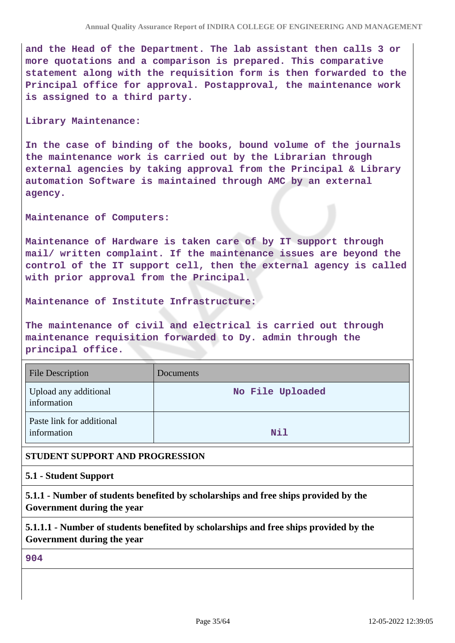**and the Head of the Department. The lab assistant then calls 3 or more quotations and a comparison is prepared. This comparative statement along with the requisition form is then forwarded to the Principal office for approval. Postapproval, the maintenance work is assigned to a third party.**

#### **Library Maintenance:**

**In the case of binding of the books, bound volume of the journals the maintenance work is carried out by the Librarian through external agencies by taking approval from the Principal & Library automation Software is maintained through AMC by an external agency.**

**Maintenance of Computers:**

**Maintenance of Hardware is taken care of by IT support through mail/ written complaint. If the maintenance issues are beyond the control of the IT support cell, then the external agency is called with prior approval from the Principal.**

### **Maintenance of Institute Infrastructure:**

**The maintenance of civil and electrical is carried out through maintenance requisition forwarded to Dy. admin through the principal office.**

| <b>File Description</b>                  | Documents        |
|------------------------------------------|------------------|
| Upload any additional<br>information     | No File Uploaded |
| Paste link for additional<br>information | <b>Nil</b>       |

### **STUDENT SUPPORT AND PROGRESSION**

### **5.1 - Student Support**

**5.1.1 - Number of students benefited by scholarships and free ships provided by the Government during the year**

**5.1.1.1 - Number of students benefited by scholarships and free ships provided by the Government during the year**

**904**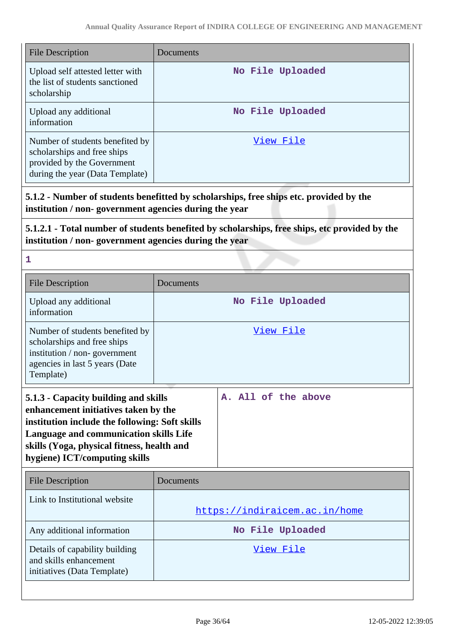| <b>File Description</b>                                                                                                                                                                                                                                 | Documents                                                                              |  |
|---------------------------------------------------------------------------------------------------------------------------------------------------------------------------------------------------------------------------------------------------------|----------------------------------------------------------------------------------------|--|
| Upload self attested letter with<br>the list of students sanctioned<br>scholarship                                                                                                                                                                      | No File Uploaded                                                                       |  |
| Upload any additional<br>information                                                                                                                                                                                                                    | No File Uploaded                                                                       |  |
| Number of students benefited by<br>scholarships and free ships<br>provided by the Government<br>during the year (Data Template)                                                                                                                         | View File                                                                              |  |
| institution / non-government agencies during the year                                                                                                                                                                                                   | 5.1.2 - Number of students benefitted by scholarships, free ships etc. provided by the |  |
| 5.1.2.1 - Total number of students benefited by scholarships, free ships, etc provided by the<br>institution / non-government agencies during the year                                                                                                  |                                                                                        |  |
| 1                                                                                                                                                                                                                                                       |                                                                                        |  |
| <b>File Description</b>                                                                                                                                                                                                                                 | Documents                                                                              |  |
| Upload any additional<br>information                                                                                                                                                                                                                    | No File Uploaded                                                                       |  |
| Number of students benefited by<br>scholarships and free ships<br>institution / non-government<br>agencies in last 5 years (Date<br>Template)                                                                                                           | View File                                                                              |  |
| 5.1.3 - Capacity building and skills<br>enhancement initiatives taken by the<br>institution include the following: Soft skills<br>Language and communication skills Life<br>skills (Yoga, physical fitness, health and<br>hygiene) ICT/computing skills | A. All of the above                                                                    |  |
| <b>File Description</b>                                                                                                                                                                                                                                 | Documents                                                                              |  |
| Link to Institutional website                                                                                                                                                                                                                           | https://indiraicem.ac.in/home                                                          |  |
| Any additional information                                                                                                                                                                                                                              | No File Uploaded                                                                       |  |
| Details of capability building<br>and skills enhancement<br>initiatives (Data Template)                                                                                                                                                                 | View File                                                                              |  |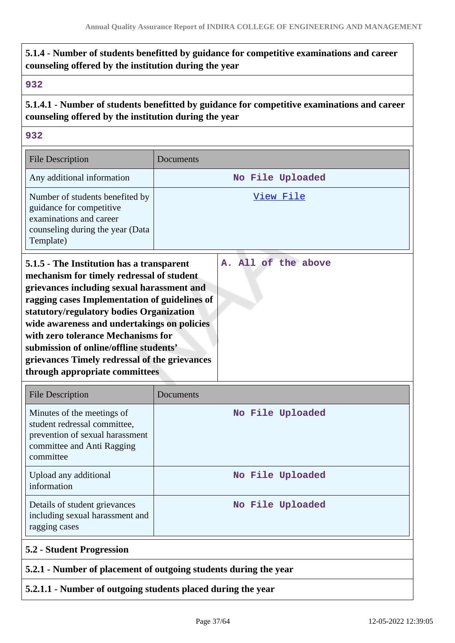# **5.1.4 - Number of students benefitted by guidance for competitive examinations and career counseling offered by the institution during the year**

### **932**

**5.1.4.1 - Number of students benefitted by guidance for competitive examinations and career counseling offered by the institution during the year**

### **932**

| <b>File Description</b>                                                                                                                                                                                                                                                                                                                                                                                                                             | Documents           |
|-----------------------------------------------------------------------------------------------------------------------------------------------------------------------------------------------------------------------------------------------------------------------------------------------------------------------------------------------------------------------------------------------------------------------------------------------------|---------------------|
| Any additional information                                                                                                                                                                                                                                                                                                                                                                                                                          | No File Uploaded    |
| Number of students benefited by<br>guidance for competitive<br>examinations and career<br>counseling during the year (Data<br>Template)                                                                                                                                                                                                                                                                                                             | <u>View File</u>    |
| 5.1.5 - The Institution has a transparent<br>mechanism for timely redressal of student<br>grievances including sexual harassment and<br>ragging cases Implementation of guidelines of<br>statutory/regulatory bodies Organization<br>wide awareness and undertakings on policies<br>with zero tolerance Mechanisms for<br>submission of online/offline students'<br>grievances Timely redressal of the grievances<br>through appropriate committees | A. All of the above |

| <b>File Description</b>                                                                                                                  | Documents        |
|------------------------------------------------------------------------------------------------------------------------------------------|------------------|
| Minutes of the meetings of<br>student redressal committee,<br>prevention of sexual harassment<br>committee and Anti Ragging<br>committee | No File Uploaded |
| Upload any additional<br>information                                                                                                     | No File Uploaded |
| Details of student grievances<br>including sexual harassment and<br>ragging cases                                                        | No File Uploaded |
| <b>5.2 - Student Progression</b>                                                                                                         |                  |
| 5.2.1 - Number of placement of outgoing students during the year                                                                         |                  |

### **5.2.1.1 - Number of outgoing students placed during the year**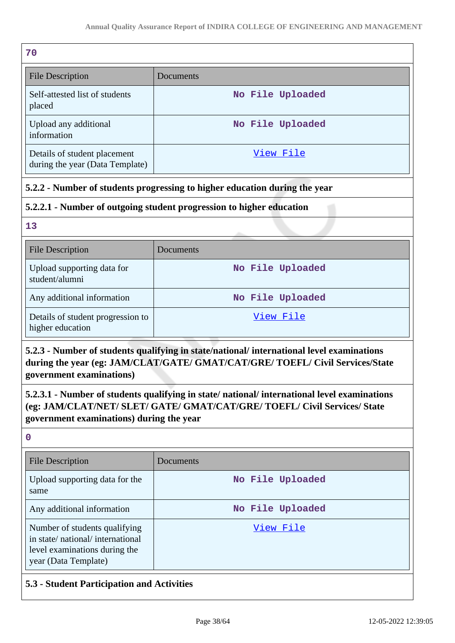| 70                                                              |                  |
|-----------------------------------------------------------------|------------------|
| <b>File Description</b>                                         | Documents        |
| Self-attested list of students<br>placed                        | No File Uploaded |
| Upload any additional<br>information                            | No File Uploaded |
| Details of student placement<br>during the year (Data Template) | View File        |

# **5.2.2 - Number of students progressing to higher education during the year**

# **5.2.2.1 - Number of outgoing student progression to higher education**

**13**

| <b>File Description</b>                               | Documents        |
|-------------------------------------------------------|------------------|
| Upload supporting data for<br>student/alumni          | No File Uploaded |
| Any additional information                            | No File Uploaded |
| Details of student progression to<br>higher education | View File        |

**5.2.3 - Number of students qualifying in state/national/ international level examinations during the year (eg: JAM/CLAT/GATE/ GMAT/CAT/GRE/ TOEFL/ Civil Services/State government examinations)**

**5.2.3.1 - Number of students qualifying in state/ national/ international level examinations (eg: JAM/CLAT/NET/ SLET/ GATE/ GMAT/CAT/GRE/ TOEFL/ Civil Services/ State government examinations) during the year**

**0**

| <b>File Description</b>                                                                                                   | Documents        |
|---------------------------------------------------------------------------------------------------------------------------|------------------|
| Upload supporting data for the<br>same                                                                                    | No File Uploaded |
| Any additional information                                                                                                | No File Uploaded |
| Number of students qualifying<br>in state/national/international<br>level examinations during the<br>year (Data Template) | View File        |

# **5.3 - Student Participation and Activities**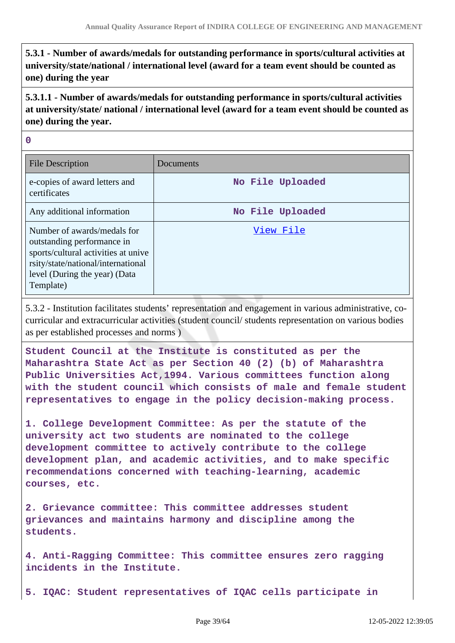**5.3.1 - Number of awards/medals for outstanding performance in sports/cultural activities at university/state/national / international level (award for a team event should be counted as one) during the year**

**5.3.1.1 - Number of awards/medals for outstanding performance in sports/cultural activities at university/state/ national / international level (award for a team event should be counted as one) during the year.**

**0**

| <b>File Description</b>                                                                                                                                                              | Documents        |
|--------------------------------------------------------------------------------------------------------------------------------------------------------------------------------------|------------------|
| e-copies of award letters and<br>certificates                                                                                                                                        | No File Uploaded |
| Any additional information                                                                                                                                                           | No File Uploaded |
| Number of awards/medals for<br>outstanding performance in<br>sports/cultural activities at unive<br>rsity/state/national/international<br>level (During the year) (Data<br>Template) | View File        |

5.3.2 - Institution facilitates students' representation and engagement in various administrative, cocurricular and extracurricular activities (student council/ students representation on various bodies as per established processes and norms )

**Student Council at the Institute is constituted as per the Maharashtra State Act as per Section 40 (2) (b) of Maharashtra Public Universities Act,1994. Various committees function along with the student council which consists of male and female student representatives to engage in the policy decision-making process.**

**1. College Development Committee: As per the statute of the university act two students are nominated to the college development committee to actively contribute to the college development plan, and academic activities, and to make specific recommendations concerned with teaching-learning, academic courses, etc.**

**2. Grievance committee: This committee addresses student grievances and maintains harmony and discipline among the students.**

**4. Anti-Ragging Committee: This committee ensures zero ragging incidents in the Institute.**

**5. IQAC: Student representatives of IQAC cells participate in**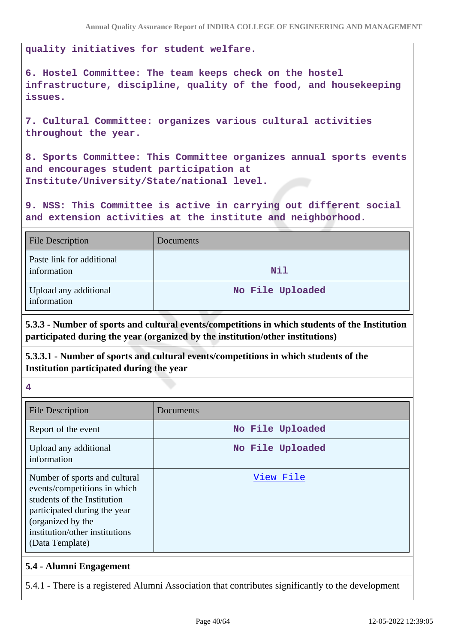**quality initiatives for student welfare.**

**6. Hostel Committee: The team keeps check on the hostel infrastructure, discipline, quality of the food, and housekeeping issues.**

**7. Cultural Committee: organizes various cultural activities throughout the year.**

**8. Sports Committee: This Committee organizes annual sports events and encourages student participation at Institute/University/State/national level.**

**9. NSS: This Committee is active in carrying out different social and extension activities at the institute and neighborhood.**

| <b>File Description</b>                  | Documents        |
|------------------------------------------|------------------|
| Paste link for additional<br>information | <b>Nil</b>       |
| Upload any additional<br>information     | No File Uploaded |

**5.3.3 - Number of sports and cultural events/competitions in which students of the Institution participated during the year (organized by the institution/other institutions)**

**5.3.3.1 - Number of sports and cultural events/competitions in which students of the Institution participated during the year**

**4**

| <b>File Description</b>                                                                                                                                                                                | Documents        |
|--------------------------------------------------------------------------------------------------------------------------------------------------------------------------------------------------------|------------------|
| Report of the event                                                                                                                                                                                    | No File Uploaded |
| Upload any additional<br>information                                                                                                                                                                   | No File Uploaded |
| Number of sports and cultural<br>events/competitions in which<br>students of the Institution<br>participated during the year<br>(organized by the<br>institution/other institutions<br>(Data Template) | View File        |

### **5.4 - Alumni Engagement**

5.4.1 - There is a registered Alumni Association that contributes significantly to the development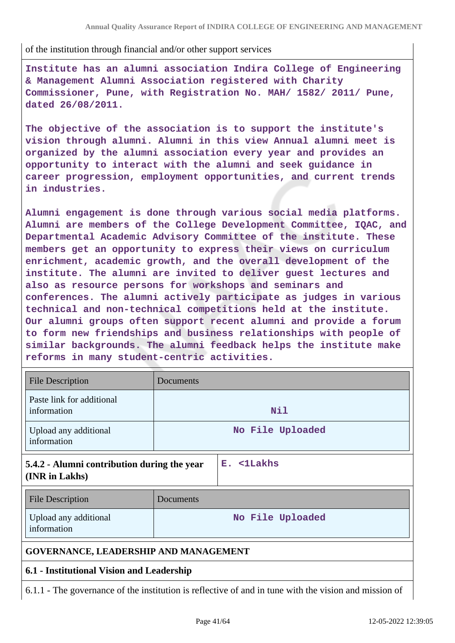of the institution through financial and/or other support services

**Institute has an alumni association Indira College of Engineering & Management Alumni Association registered with Charity Commissioner, Pune, with Registration No. MAH/ 1582/ 2011/ Pune, dated 26/08/2011.**

**The objective of the association is to support the institute's vision through alumni. Alumni in this view Annual alumni meet is organized by the alumni association every year and provides an opportunity to interact with the alumni and seek guidance in career progression, employment opportunities, and current trends in industries.**

**Alumni engagement is done through various social media platforms. Alumni are members of the College Development Committee, IQAC, and Departmental Academic Advisory Committee of the institute. These members get an opportunity to express their views on curriculum enrichment, academic growth, and the overall development of the institute. The alumni are invited to deliver guest lectures and also as resource persons for workshops and seminars and conferences. The alumni actively participate as judges in various technical and non-technical competitions held at the institute. Our alumni groups often support recent alumni and provide a forum to form new friendships and business relationships with people of similar backgrounds. The alumni feedback helps the institute make reforms in many student-centric activities.**

| <b>File Description</b>                                       | Documents        |                       |
|---------------------------------------------------------------|------------------|-----------------------|
| Paste link for additional<br>information                      | Nil              |                       |
| Upload any additional<br>information                          | No File Uploaded |                       |
| 5.4.2 - Alumni contribution during the year<br>(INR in Lakhs) |                  | $E.$ $\langle$ 1Lakhs |
| <b>File Description</b>                                       | Documents        |                       |
| Upload any additional<br>information                          |                  | No File Uploaded      |
| <b>GOVERNANCE, LEADERSHIP AND MANAGEMENT</b>                  |                  |                       |
| 6.1 - Institutional Vision and Leadership                     |                  |                       |

6.1.1 - The governance of the institution is reflective of and in tune with the vision and mission of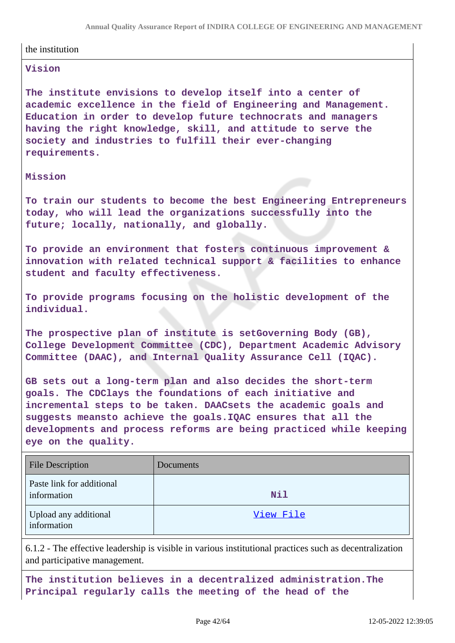#### the institution

#### **Vision**

**The institute envisions to develop itself into a center of academic excellence in the field of Engineering and Management. Education in order to develop future technocrats and managers having the right knowledge, skill, and attitude to serve the society and industries to fulfill their ever-changing requirements.**

#### **Mission**

**To train our students to become the best Engineering Entrepreneurs today, who will lead the organizations successfully into the future; locally, nationally, and globally.**

**To provide an environment that fosters continuous improvement & innovation with related technical support & facilities to enhance student and faculty effectiveness.**

**To provide programs focusing on the holistic development of the individual.**

**The prospective plan of institute is setGoverning Body (GB), College Development Committee (CDC), Department Academic Advisory Committee (DAAC), and Internal Quality Assurance Cell (IQAC).**

**GB sets out a long-term plan and also decides the short-term goals. The CDClays the foundations of each initiative and incremental steps to be taken. DAACsets the academic goals and suggests meansto achieve the goals.IQAC ensures that all the developments and process reforms are being practiced while keeping eye on the quality.**

| <b>File Description</b>                  | Documents  |
|------------------------------------------|------------|
| Paste link for additional<br>information | <b>Nil</b> |
| Upload any additional<br>information     | View File  |

6.1.2 - The effective leadership is visible in various institutional practices such as decentralization and participative management.

**The institution believes in a decentralized administration.The Principal regularly calls the meeting of the head of the**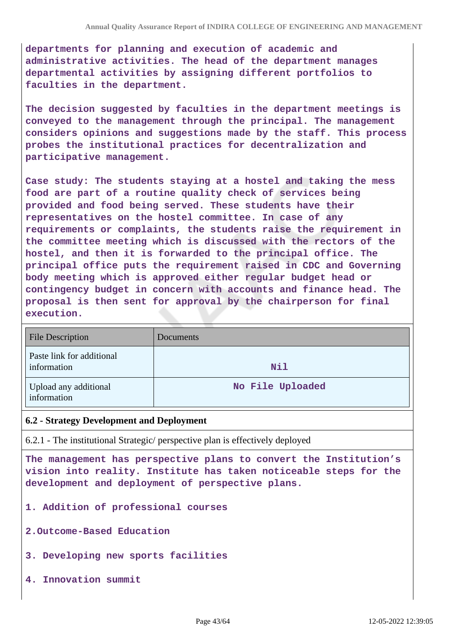**departments for planning and execution of academic and administrative activities. The head of the department manages departmental activities by assigning different portfolios to faculties in the department.**

**The decision suggested by faculties in the department meetings is conveyed to the management through the principal. The management considers opinions and suggestions made by the staff. This process probes the institutional practices for decentralization and participative management.**

**Case study: The students staying at a hostel and taking the mess food are part of a routine quality check of services being provided and food being served. These students have their representatives on the hostel committee. In case of any requirements or complaints, the students raise the requirement in the committee meeting which is discussed with the rectors of the hostel, and then it is forwarded to the principal office. The principal office puts the requirement raised in CDC and Governing body meeting which is approved either regular budget head or contingency budget in concern with accounts and finance head. The proposal is then sent for approval by the chairperson for final execution.**

| <b>File Description</b>                  | Documents        |
|------------------------------------------|------------------|
| Paste link for additional<br>information | <b>Nil</b>       |
| Upload any additional<br>information     | No File Uploaded |

### **6.2 - Strategy Development and Deployment**

6.2.1 - The institutional Strategic/ perspective plan is effectively deployed

**The management has perspective plans to convert the Institution's vision into reality. Institute has taken noticeable steps for the development and deployment of perspective plans.**

**1. Addition of professional courses**

**2.Outcome-Based Education**

- **3. Developing new sports facilities**
- **4. Innovation summit**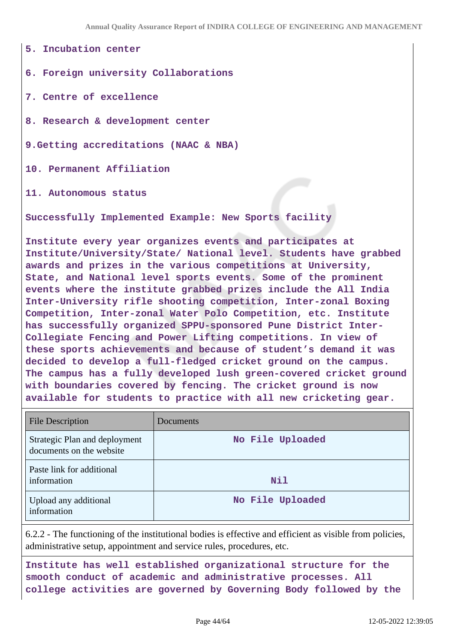**5. Incubation center**

**6. Foreign university Collaborations**

**7. Centre of excellence**

**8. Research & development center**

**9.Getting accreditations (NAAC & NBA)**

**10. Permanent Affiliation**

**11. Autonomous status**

**Successfully Implemented Example: New Sports facility**

**Institute every year organizes events and participates at Institute/University/State/ National level. Students have grabbed awards and prizes in the various competitions at University, State, and National level sports events. Some of the prominent events where the institute grabbed prizes include the All India Inter-University rifle shooting competition, Inter-zonal Boxing Competition, Inter-zonal Water Polo Competition, etc. Institute has successfully organized SPPU-sponsored Pune District Inter-Collegiate Fencing and Power Lifting competitions. In view of these sports achievements and because of student's demand it was decided to develop a full-fledged cricket ground on the campus. The campus has a fully developed lush green-covered cricket ground with boundaries covered by fencing. The cricket ground is now available for students to practice with all new cricketing gear.**

| <b>File Description</b>                                   | Documents        |
|-----------------------------------------------------------|------------------|
| Strategic Plan and deployment<br>documents on the website | No File Uploaded |
| Paste link for additional<br>information                  | <b>Nil</b>       |
| Upload any additional<br>information                      | No File Uploaded |

6.2.2 - The functioning of the institutional bodies is effective and efficient as visible from policies, administrative setup, appointment and service rules, procedures, etc.

**Institute has well established organizational structure for the smooth conduct of academic and administrative processes. All college activities are governed by Governing Body followed by the**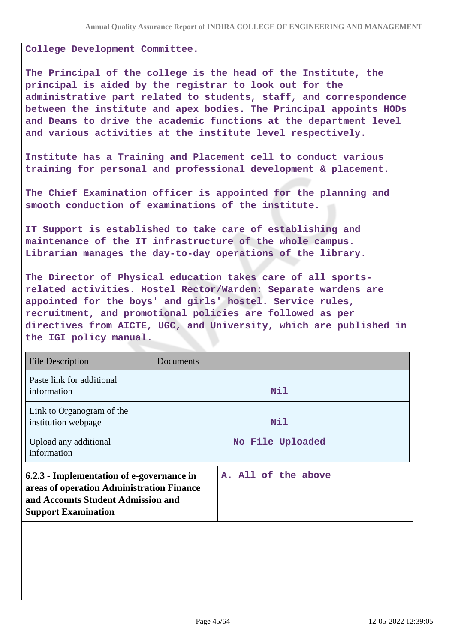**College Development Committee.**

**The Principal of the college is the head of the Institute, the principal is aided by the registrar to look out for the administrative part related to students, staff, and correspondence between the institute and apex bodies. The Principal appoints HODs and Deans to drive the academic functions at the department level and various activities at the institute level respectively.**

**Institute has a Training and Placement cell to conduct various training for personal and professional development & placement.**

**The Chief Examination officer is appointed for the planning and smooth conduction of examinations of the institute.**

**IT Support is established to take care of establishing and maintenance of the IT infrastructure of the whole campus. Librarian manages the day-to-day operations of the library.**

**The Director of Physical education takes care of all sportsrelated activities. Hostel Rector/Warden: Separate wardens are appointed for the boys' and girls' hostel. Service rules, recruitment, and promotional policies are followed as per directives from AICTE, UGC, and University, which are published in the IGI policy manual.**

| <b>File Description</b>                                                                                                                                    | Documents           |  |
|------------------------------------------------------------------------------------------------------------------------------------------------------------|---------------------|--|
| Paste link for additional<br>information                                                                                                                   | <b>Nil</b>          |  |
| Link to Organogram of the<br>institution webpage                                                                                                           | Nil                 |  |
| Upload any additional<br>information                                                                                                                       | No File Uploaded    |  |
| 6.2.3 - Implementation of e-governance in<br>areas of operation Administration Finance<br>and Accounts Student Admission and<br><b>Support Examination</b> | A. All of the above |  |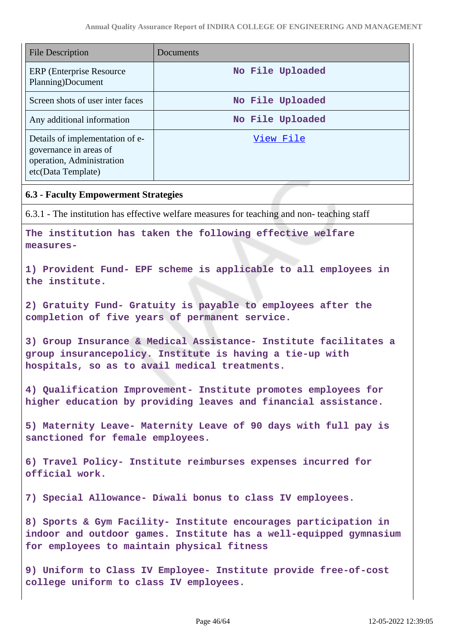| <b>File Description</b><br>Documents                                                                                                                                               |                                                                                            |  |  |
|------------------------------------------------------------------------------------------------------------------------------------------------------------------------------------|--------------------------------------------------------------------------------------------|--|--|
| <b>ERP</b> (Enterprise Resource)<br>Planning)Document                                                                                                                              | No File Uploaded                                                                           |  |  |
| Screen shots of user inter faces                                                                                                                                                   | No File Uploaded                                                                           |  |  |
| Any additional information                                                                                                                                                         | No File Uploaded                                                                           |  |  |
| Details of implementation of e-<br>governance in areas of<br>operation, Administration<br>etc(Data Template)                                                                       | <u>View File</u>                                                                           |  |  |
| <b>6.3 - Faculty Empowerment Strategies</b>                                                                                                                                        |                                                                                            |  |  |
|                                                                                                                                                                                    | 6.3.1 - The institution has effective welfare measures for teaching and non-teaching staff |  |  |
| The institution has taken the following effective welfare<br>measures-                                                                                                             |                                                                                            |  |  |
| 1) Provident Fund- EPF scheme is applicable to all employees in<br>the institute.                                                                                                  |                                                                                            |  |  |
| 2) Gratuity Fund- Gratuity is payable to employees after the<br>completion of five years of permanent service.                                                                     |                                                                                            |  |  |
| 3) Group Insurance & Medical Assistance- Institute facilitates a<br>group insurancepolicy. Institute is having a tie-up with<br>hospitals, so as to avail medical treatments.      |                                                                                            |  |  |
| 4) Qualification Improvement- Institute promotes employees for<br>higher education by providing leaves and financial assistance.                                                   |                                                                                            |  |  |
| 5) Maternity Leave- Maternity Leave of 90 days with full pay is<br>sanctioned for female employees.                                                                                |                                                                                            |  |  |
| 6) Travel Policy- Institute reimburses expenses incurred for<br>official work.                                                                                                     |                                                                                            |  |  |
| 7) Special Allowance- Diwali bonus to class IV employees.                                                                                                                          |                                                                                            |  |  |
| 8) Sports & Gym Facility- Institute encourages participation in<br>indoor and outdoor games. Institute has a well-equipped gymnasium<br>for employees to maintain physical fitness |                                                                                            |  |  |
| 9) Uniform to Class IV Employee- Institute provide free-of-cost<br>college uniform to class IV employees.                                                                          |                                                                                            |  |  |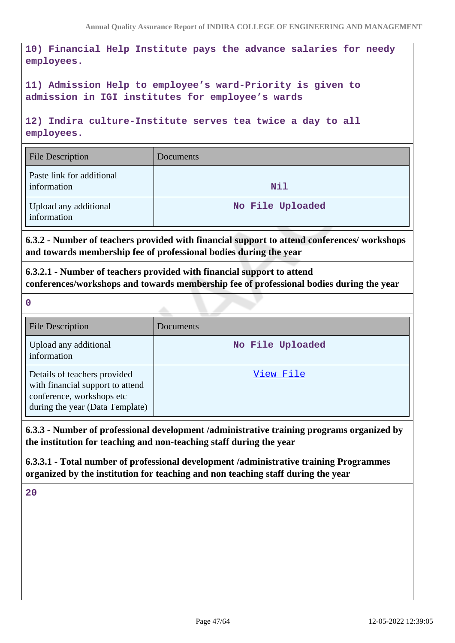**10) Financial Help Institute pays the advance salaries for needy employees.**

**11) Admission Help to employee's ward-Priority is given to admission in IGI institutes for employee's wards**

**12) Indira culture-Institute serves tea twice a day to all employees.**

| <b>File Description</b>                  | Documents        |
|------------------------------------------|------------------|
| Paste link for additional<br>information | Nil              |
| Upload any additional<br>information     | No File Uploaded |

**6.3.2 - Number of teachers provided with financial support to attend conferences/ workshops and towards membership fee of professional bodies during the year**

**6.3.2.1 - Number of teachers provided with financial support to attend conferences/workshops and towards membership fee of professional bodies during the year**

**0**

| <b>File Description</b>                                                                                                          | Documents        |
|----------------------------------------------------------------------------------------------------------------------------------|------------------|
| Upload any additional<br>information                                                                                             | No File Uploaded |
| Details of teachers provided<br>with financial support to attend<br>conference, workshops etc<br>during the year (Data Template) | View File        |

### **6.3.3 - Number of professional development /administrative training programs organized by the institution for teaching and non-teaching staff during the year**

**6.3.3.1 - Total number of professional development /administrative training Programmes organized by the institution for teaching and non teaching staff during the year**

**20**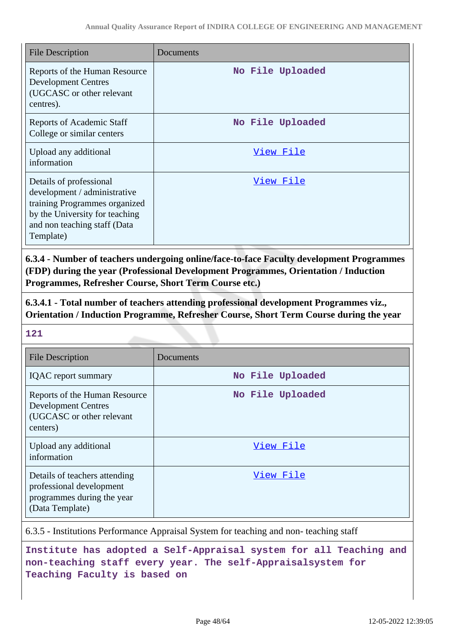| <b>File Description</b>                                                                                                                                                 | Documents        |
|-------------------------------------------------------------------------------------------------------------------------------------------------------------------------|------------------|
| Reports of the Human Resource<br><b>Development Centres</b><br>(UGCASC or other relevant<br>centres).                                                                   | No File Uploaded |
| <b>Reports of Academic Staff</b><br>College or similar centers                                                                                                          | No File Uploaded |
| Upload any additional<br>information                                                                                                                                    | View File        |
| Details of professional<br>development / administrative<br>training Programmes organized<br>by the University for teaching<br>and non teaching staff (Data<br>Template) | View File        |

**6.3.4 - Number of teachers undergoing online/face-to-face Faculty development Programmes (FDP) during the year (Professional Development Programmes, Orientation / Induction Programmes, Refresher Course, Short Term Course etc.)**

**6.3.4.1 - Total number of teachers attending professional development Programmes viz., Orientation / Induction Programme, Refresher Course, Short Term Course during the year**

**121**

| <b>File Description</b>                                                                                    | Documents        |
|------------------------------------------------------------------------------------------------------------|------------------|
| <b>IQAC</b> report summary                                                                                 | No File Uploaded |
| Reports of the Human Resource<br><b>Development Centres</b><br>(UGCASC or other relevant<br>centers)       | No File Uploaded |
| Upload any additional<br>information                                                                       | View File        |
| Details of teachers attending<br>professional development<br>programmes during the year<br>(Data Template) | View File        |

6.3.5 - Institutions Performance Appraisal System for teaching and non- teaching staff

**Institute has adopted a Self-Appraisal system for all Teaching and non-teaching staff every year. The self-Appraisalsystem for Teaching Faculty is based on**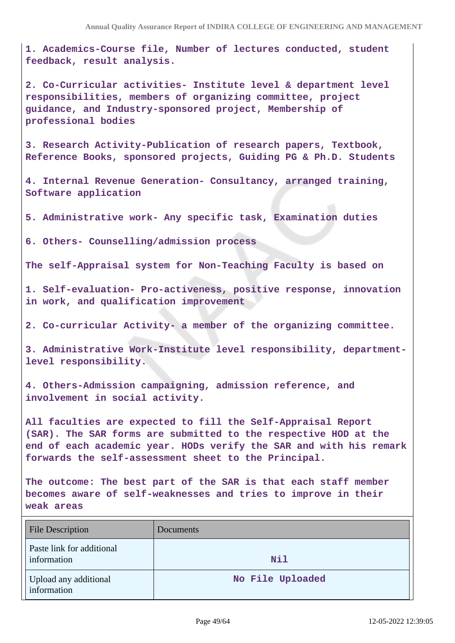**1. Academics-Course file, Number of lectures conducted, student feedback, result analysis.**

**2. Co-Curricular activities- Institute level & department level responsibilities, members of organizing committee, project guidance, and Industry-sponsored project, Membership of professional bodies**

**3. Research Activity-Publication of research papers, Textbook, Reference Books, sponsored projects, Guiding PG & Ph.D. Students**

**4. Internal Revenue Generation- Consultancy, arranged training, Software application**

**5. Administrative work- Any specific task, Examination duties**

**6. Others- Counselling/admission process**

**The self-Appraisal system for Non-Teaching Faculty is based on** 

**1. Self-evaluation- Pro-activeness, positive response, innovation in work, and qualification improvement**

**2. Co-curricular Activity- a member of the organizing committee.**

**3. Administrative Work-Institute level responsibility, departmentlevel responsibility.**

**4. Others-Admission campaigning, admission reference, and involvement in social activity.**

**All faculties are expected to fill the Self-Appraisal Report (SAR). The SAR forms are submitted to the respective HOD at the end of each academic year. HODs verify the SAR and with his remark forwards the self-assessment sheet to the Principal.**

**The outcome: The best part of the SAR is that each staff member becomes aware of self-weaknesses and tries to improve in their weak areas**

| <b>File Description</b>                  | Documents        |
|------------------------------------------|------------------|
| Paste link for additional<br>information | <b>Nil</b>       |
| Upload any additional<br>information     | No File Uploaded |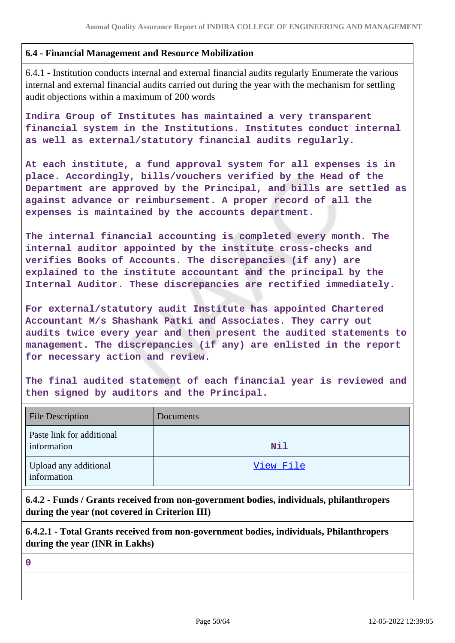### **6.4 - Financial Management and Resource Mobilization**

6.4.1 - Institution conducts internal and external financial audits regularly Enumerate the various internal and external financial audits carried out during the year with the mechanism for settling audit objections within a maximum of 200 words

**Indira Group of Institutes has maintained a very transparent financial system in the Institutions. Institutes conduct internal as well as external/statutory financial audits regularly.**

**At each institute, a fund approval system for all expenses is in place. Accordingly, bills/vouchers verified by the Head of the Department are approved by the Principal, and bills are settled as against advance or reimbursement. A proper record of all the expenses is maintained by the accounts department.**

**The internal financial accounting is completed every month. The internal auditor appointed by the institute cross-checks and verifies Books of Accounts. The discrepancies (if any) are explained to the institute accountant and the principal by the Internal Auditor. These discrepancies are rectified immediately.**

**For external/statutory audit Institute has appointed Chartered Accountant M/s Shashank Patki and Associates. They carry out audits twice every year and then present the audited statements to management. The discrepancies (if any) are enlisted in the report for necessary action and review.**

**The final audited statement of each financial year is reviewed and then signed by auditors and the Principal.**

| <b>File Description</b>                  | Documents  |
|------------------------------------------|------------|
| Paste link for additional<br>information | <b>Nil</b> |
| Upload any additional<br>information     | View File  |

**6.4.2 - Funds / Grants received from non-government bodies, individuals, philanthropers during the year (not covered in Criterion III)**

**6.4.2.1 - Total Grants received from non-government bodies, individuals, Philanthropers during the year (INR in Lakhs)**

**0**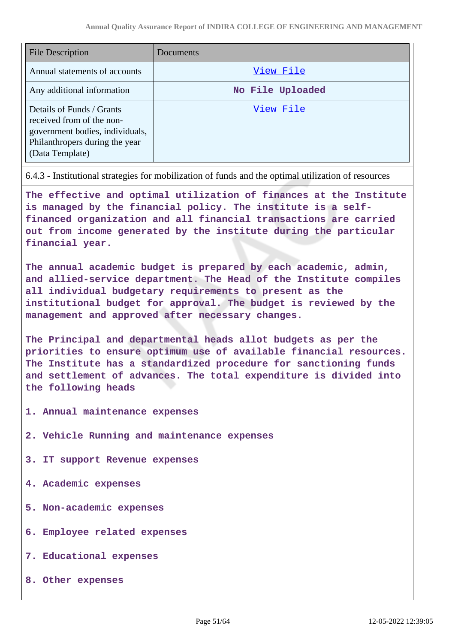| <b>File Description</b>                                                                                                                        | Documents        |
|------------------------------------------------------------------------------------------------------------------------------------------------|------------------|
| Annual statements of accounts                                                                                                                  | View File        |
| Any additional information                                                                                                                     | No File Uploaded |
| Details of Funds / Grants<br>received from of the non-<br>government bodies, individuals,<br>Philanthropers during the year<br>(Data Template) | View File        |

6.4.3 - Institutional strategies for mobilization of funds and the optimal utilization of resources

**The effective and optimal utilization of finances at the Institute is managed by the financial policy. The institute is a selffinanced organization and all financial transactions are carried out from income generated by the institute during the particular financial year.**

**The annual academic budget is prepared by each academic, admin, and allied-service department. The Head of the Institute compiles all individual budgetary requirements to present as the institutional budget for approval. The budget is reviewed by the management and approved after necessary changes.**

**The Principal and departmental heads allot budgets as per the priorities to ensure optimum use of available financial resources. The Institute has a standardized procedure for sanctioning funds and settlement of advances. The total expenditure is divided into the following heads**

- **1. Annual maintenance expenses**
- **2. Vehicle Running and maintenance expenses**
- **3. IT support Revenue expenses**
- **4. Academic expenses**
- **5. Non-academic expenses**
- **6. Employee related expenses**
- **7. Educational expenses**
- **8. Other expenses**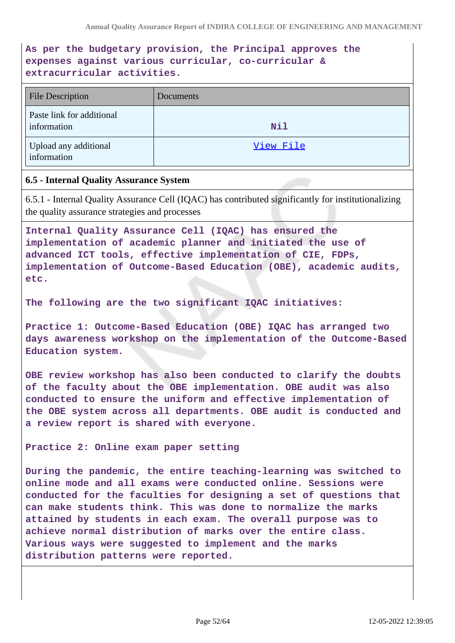**As per the budgetary provision, the Principal approves the expenses against various curricular, co-curricular & extracurricular activities.**

| <b>File Description</b>                  | Documents  |
|------------------------------------------|------------|
| Paste link for additional<br>information | <b>Nil</b> |
| Upload any additional<br>information     | View File  |

### **6.5 - Internal Quality Assurance System**

6.5.1 - Internal Quality Assurance Cell (IQAC) has contributed significantly for institutionalizing the quality assurance strategies and processes

**Internal Quality Assurance Cell (IQAC) has ensured the implementation of academic planner and initiated the use of advanced ICT tools, effective implementation of CIE, FDPs, implementation of Outcome-Based Education (OBE), academic audits, etc.**

**The following are the two significant IQAC initiatives:**

**Practice 1: Outcome-Based Education (OBE) IQAC has arranged two days awareness workshop on the implementation of the Outcome-Based Education system.**

**OBE review workshop has also been conducted to clarify the doubts of the faculty about the OBE implementation. OBE audit was also conducted to ensure the uniform and effective implementation of the OBE system across all departments. OBE audit is conducted and a review report is shared with everyone.**

**Practice 2: Online exam paper setting**

**During the pandemic, the entire teaching-learning was switched to online mode and all exams were conducted online. Sessions were conducted for the faculties for designing a set of questions that can make students think. This was done to normalize the marks attained by students in each exam. The overall purpose was to achieve normal distribution of marks over the entire class. Various ways were suggested to implement and the marks distribution patterns were reported.**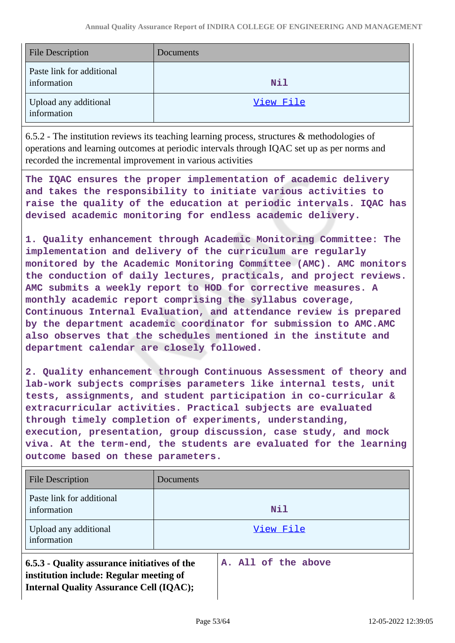| <b>File Description</b>                  | Documents |
|------------------------------------------|-----------|
| Paste link for additional<br>information | Nil       |
| Upload any additional<br>information     | View File |

6.5.2 - The institution reviews its teaching learning process, structures & methodologies of operations and learning outcomes at periodic intervals through IQAC set up as per norms and recorded the incremental improvement in various activities

**The IQAC ensures the proper implementation of academic delivery and takes the responsibility to initiate various activities to raise the quality of the education at periodic intervals. IQAC has devised academic monitoring for endless academic delivery.**

**1. Quality enhancement through Academic Monitoring Committee: The implementation and delivery of the curriculum are regularly monitored by the Academic Monitoring Committee (AMC). AMC monitors the conduction of daily lectures, practicals, and project reviews. AMC submits a weekly report to HOD for corrective measures. A monthly academic report comprising the syllabus coverage, Continuous Internal Evaluation, and attendance review is prepared by the department academic coordinator for submission to AMC.AMC also observes that the schedules mentioned in the institute and department calendar are closely followed.**

**2. Quality enhancement through Continuous Assessment of theory and lab-work subjects comprises parameters like internal tests, unit tests, assignments, and student participation in co-curricular & extracurricular activities. Practical subjects are evaluated through timely completion of experiments, understanding, execution, presentation, group discussion, case study, and mock viva. At the term-end, the students are evaluated for the learning outcome based on these parameters.**

| File Description                                                                                                                          | Documents |                     |
|-------------------------------------------------------------------------------------------------------------------------------------------|-----------|---------------------|
| Paste link for additional<br>information                                                                                                  |           | <b>Nil</b>          |
| Upload any additional<br>information                                                                                                      |           | View File           |
| 6.5.3 - Quality assurance initiatives of the<br>institution include: Regular meeting of<br><b>Internal Quality Assurance Cell (IQAC);</b> |           | A. All of the above |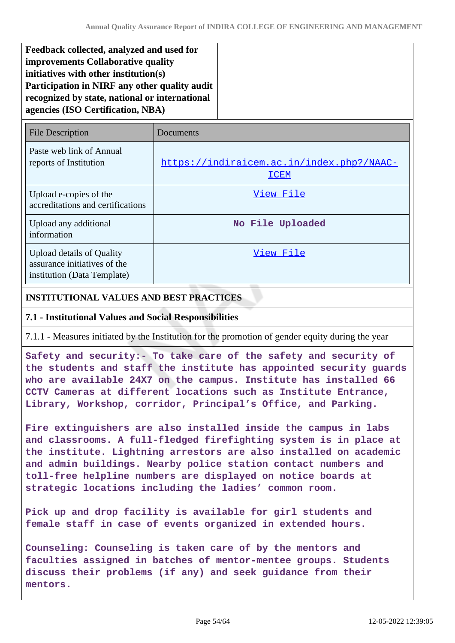**Feedback collected, analyzed and used for improvements Collaborative quality initiatives with other institution(s) Participation in NIRF any other quality audit recognized by state, national or international agencies (ISO Certification, NBA)**

| <b>File Description</b>                                                                         | Documents                                                |
|-------------------------------------------------------------------------------------------------|----------------------------------------------------------|
| Paste web link of Annual<br>reports of Institution                                              | https://indiraicem.ac.in/index.php?/NAAC-<br><b>ICEM</b> |
| Upload e-copies of the<br>accreditations and certifications                                     | View File                                                |
| Upload any additional<br>information                                                            | No File Uploaded                                         |
| <b>Upload details of Quality</b><br>assurance initiatives of the<br>institution (Data Template) | View File                                                |

# **INSTITUTIONAL VALUES AND BEST PRACTICES**

### **7.1 - Institutional Values and Social Responsibilities**

7.1.1 - Measures initiated by the Institution for the promotion of gender equity during the year

**Safety and security:- To take care of the safety and security of the students and staff the institute has appointed security guards who are available 24X7 on the campus. Institute has installed 66 CCTV Cameras at different locations such as Institute Entrance, Library, Workshop, corridor, Principal's Office, and Parking.**

**Fire extinguishers are also installed inside the campus in labs and classrooms. A full-fledged firefighting system is in place at the institute. Lightning arrestors are also installed on academic and admin buildings. Nearby police station contact numbers and toll-free helpline numbers are displayed on notice boards at strategic locations including the ladies' common room.**

**Pick up and drop facility is available for girl students and female staff in case of events organized in extended hours.**

**Counseling: Counseling is taken care of by the mentors and faculties assigned in batches of mentor-mentee groups. Students discuss their problems (if any) and seek guidance from their mentors.**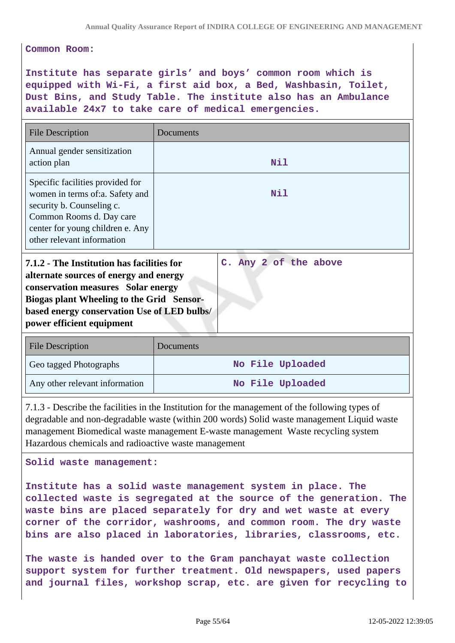**Common Room:**

**Institute has separate girls' and boys' common room which is equipped with Wi-Fi, a first aid box, a Bed, Washbasin, Toilet, Dust Bins, and Study Table. The institute also has an Ambulance available 24x7 to take care of medical emergencies.**

| <b>File Description</b>                                                                                                                                                                                                                                           | Documents             |
|-------------------------------------------------------------------------------------------------------------------------------------------------------------------------------------------------------------------------------------------------------------------|-----------------------|
| Annual gender sensitization<br>action plan                                                                                                                                                                                                                        | Nil                   |
| Specific facilities provided for<br>women in terms of:a. Safety and<br>security b. Counseling c.<br>Common Rooms d. Day care<br>center for young children e. Any<br>other relevant information                                                                    | Nil                   |
| 7.1.2 - The Institution has facilities for<br>alternate sources of energy and energy<br><b>conservation measures</b> Solar energy<br><b>Biogas plant Wheeling to the Grid Sensor-</b><br>based energy conservation Use of LED bulbs/<br>power efficient equipment | C. Any 2 of the above |
| <b>File Description</b>                                                                                                                                                                                                                                           | Documents             |

| <b>FILE DESCRIPTION</b>        | DOCUMENTS        |
|--------------------------------|------------------|
| Geo tagged Photographs         | No File Uploaded |
| Any other relevant information | No File Uploaded |

7.1.3 - Describe the facilities in the Institution for the management of the following types of degradable and non-degradable waste (within 200 words) Solid waste management Liquid waste management Biomedical waste management E-waste management Waste recycling system Hazardous chemicals and radioactive waste management

**Solid waste management:**

**Institute has a solid waste management system in place. The collected waste is segregated at the source of the generation. The waste bins are placed separately for dry and wet waste at every corner of the corridor, washrooms, and common room. The dry waste bins are also placed in laboratories, libraries, classrooms, etc.**

**The waste is handed over to the Gram panchayat waste collection support system for further treatment. Old newspapers, used papers and journal files, workshop scrap, etc. are given for recycling to**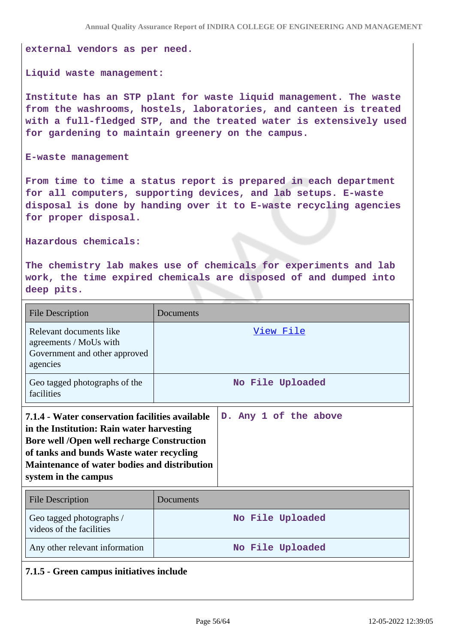**external vendors as per need.**

#### **Liquid waste management:**

**Institute has an STP plant for waste liquid management. The waste from the washrooms, hostels, laboratories, and canteen is treated with a full-fledged STP, and the treated water is extensively used for gardening to maintain greenery on the campus.**

#### **E-waste management**

**From time to time a status report is prepared in each department for all computers, supporting devices, and lab setups. E-waste disposal is done by handing over it to E-waste recycling agencies for proper disposal.**

#### **Hazardous chemicals:**

**The chemistry lab makes use of chemicals for experiments and lab work, the time expired chemicals are disposed of and dumped into deep pits.**

| <b>File Description</b>                                                                                                                                                                                                                                                      | Documents        |                       |  |
|------------------------------------------------------------------------------------------------------------------------------------------------------------------------------------------------------------------------------------------------------------------------------|------------------|-----------------------|--|
| Relevant documents like<br>agreements / MoUs with<br>Government and other approved<br>agencies                                                                                                                                                                               | <u>View File</u> |                       |  |
| Geo tagged photographs of the<br>facilities                                                                                                                                                                                                                                  |                  | No File Uploaded      |  |
| 7.1.4 - Water conservation facilities available<br>in the Institution: Rain water harvesting<br><b>Bore well /Open well recharge Construction</b><br>of tanks and bunds Waste water recycling<br><b>Maintenance of water bodies and distribution</b><br>system in the campus |                  | D. Any 1 of the above |  |
| <b>File Description</b>                                                                                                                                                                                                                                                      | Documents        |                       |  |
| Geo tagged photographs /<br>videos of the facilities                                                                                                                                                                                                                         |                  | No File Uploaded      |  |
| Any other relevant information                                                                                                                                                                                                                                               | No File Uploaded |                       |  |

### **7.1.5 - Green campus initiatives include**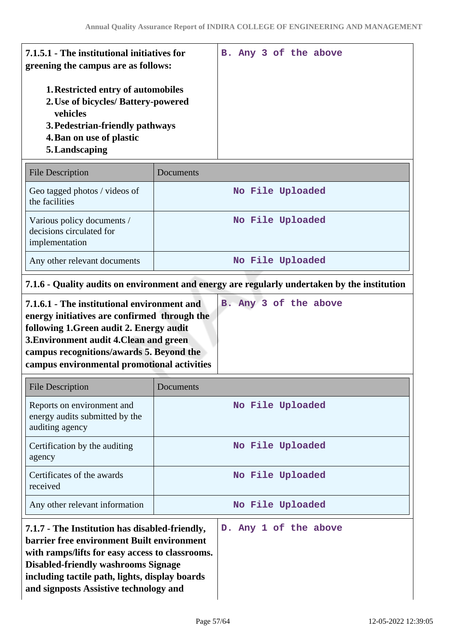| 7.1.5.1 - The institutional initiatives for<br>greening the campus are as follows:                                                                                     |  |  | B. Any 3 of the above |  |
|------------------------------------------------------------------------------------------------------------------------------------------------------------------------|--|--|-----------------------|--|
| 1. Restricted entry of automobiles<br>2. Use of bicycles/ Battery-powered<br>vehicles<br>3. Pedestrian-friendly pathways<br>4. Ban on use of plastic<br>5. Landscaping |  |  |                       |  |
|                                                                                                                                                                        |  |  |                       |  |

| <b>File Description</b>                                                  | Documents        |
|--------------------------------------------------------------------------|------------------|
| Geo tagged photos / videos of<br>the facilities                          | No File Uploaded |
| Various policy documents /<br>decisions circulated for<br>implementation | No File Uploaded |
| Any other relevant documents                                             | No File Uploaded |

# **7.1.6 - Quality audits on environment and energy are regularly undertaken by the institution**

| 7.1.6.1 - The institutional environment and  | B. Any 3 of the above |  |  |
|----------------------------------------------|-----------------------|--|--|
| energy initiatives are confirmed through the |                       |  |  |
| following 1. Green audit 2. Energy audit     |                       |  |  |
| 3. Environment audit 4. Clean and green      |                       |  |  |
| campus recognitions/awards 5. Beyond the     |                       |  |  |
| campus environmental promotional activities  |                       |  |  |

| <b>File Description</b>                                                         | Documents             |  |
|---------------------------------------------------------------------------------|-----------------------|--|
| Reports on environment and<br>energy audits submitted by the<br>auditing agency | No File Uploaded      |  |
| Certification by the auditing<br>agency                                         | No File Uploaded      |  |
| Certificates of the awards<br>received                                          | No File Uploaded      |  |
| Any other relevant information                                                  | No File Uploaded      |  |
| 7.1.7 - The Institution has disabled-friendly,                                  | D. Any 1 of the above |  |

**7.1.7 - The Institution has disabled-friendly, barrier free environment Built environment with ramps/lifts for easy access to classrooms. Disabled-friendly washrooms Signage including tactile path, lights, display boards and signposts Assistive technology and**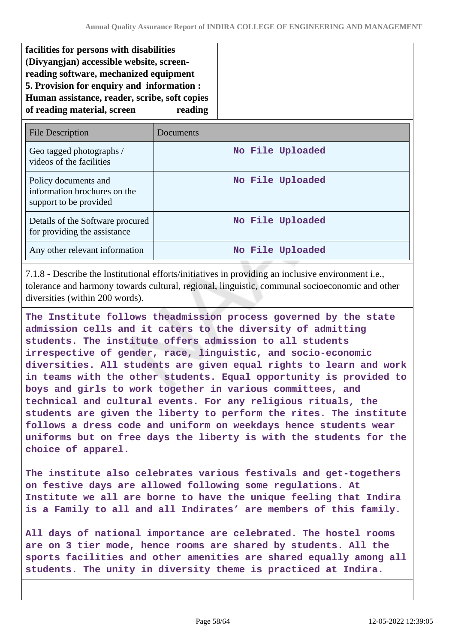| facilities for persons with disabilities<br>(Divyangjan) accessible website, screen-<br>reading software, mechanized equipment<br>5. Provision for enquiry and information :<br>Human assistance, reader, scribe, soft copies<br>of reading material, screen<br>reading |           |                  |  |
|-------------------------------------------------------------------------------------------------------------------------------------------------------------------------------------------------------------------------------------------------------------------------|-----------|------------------|--|
| <b>File Description</b>                                                                                                                                                                                                                                                 | Documents |                  |  |
| Geo tagged photographs /<br>videos of the facilities                                                                                                                                                                                                                    |           | No File Uploaded |  |
| Policy documents and<br>information brochures on the<br>support to be provided                                                                                                                                                                                          |           | No File Uploaded |  |
| Details of the Software procured<br>for providing the assistance                                                                                                                                                                                                        |           | No File Uploaded |  |
| Any other relevant information                                                                                                                                                                                                                                          |           | No File Uploaded |  |

7.1.8 - Describe the Institutional efforts/initiatives in providing an inclusive environment i.e., tolerance and harmony towards cultural, regional, linguistic, communal socioeconomic and other diversities (within 200 words).

**The Institute follows theadmission process governed by the state admission cells and it caters to the diversity of admitting students. The institute offers admission to all students irrespective of gender, race, linguistic, and socio-economic diversities. All students are given equal rights to learn and work in teams with the other students. Equal opportunity is provided to boys and girls to work together in various committees, and technical and cultural events. For any religious rituals, the students are given the liberty to perform the rites. The institute follows a dress code and uniform on weekdays hence students wear uniforms but on free days the liberty is with the students for the choice of apparel.**

**The institute also celebrates various festivals and get-togethers on festive days are allowed following some regulations. At Institute we all are borne to have the unique feeling that Indira is a Family to all and all Indirates' are members of this family.**

**All days of national importance are celebrated. The hostel rooms are on 3 tier mode, hence rooms are shared by students. All the sports facilities and other amenities are shared equally among all students. The unity in diversity theme is practiced at Indira.**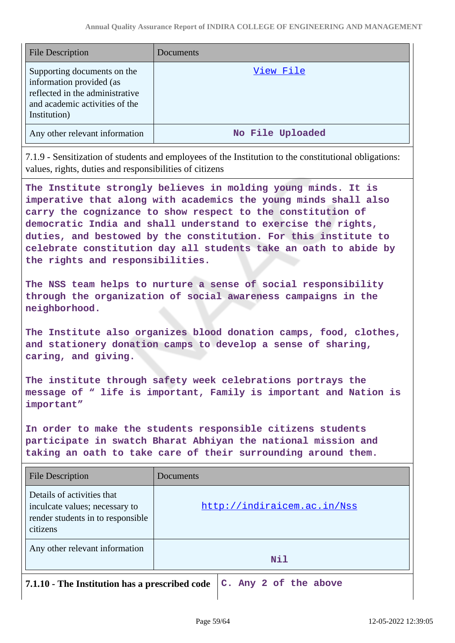| <b>File Description</b>                                                                                                                      | Documents        |
|----------------------------------------------------------------------------------------------------------------------------------------------|------------------|
| Supporting documents on the<br>information provided (as<br>reflected in the administrative<br>and academic activities of the<br>Institution) | View File        |
| Any other relevant information                                                                                                               | No File Uploaded |

7.1.9 - Sensitization of students and employees of the Institution to the constitutional obligations: values, rights, duties and responsibilities of citizens

**The Institute strongly believes in molding young minds. It is imperative that along with academics the young minds shall also carry the cognizance to show respect to the constitution of democratic India and shall understand to exercise the rights, duties, and bestowed by the constitution. For this institute to celebrate constitution day all students take an oath to abide by the rights and responsibilities.**

**The NSS team helps to nurture a sense of social responsibility through the organization of social awareness campaigns in the neighborhood.**

**The Institute also organizes blood donation camps, food, clothes, and stationery donation camps to develop a sense of sharing, caring, and giving.**

**The institute through safety week celebrations portrays the message of " life is important, Family is important and Nation is important"**

**In order to make the students responsible citizens students participate in swatch Bharat Abhiyan the national mission and taking an oath to take care of their surrounding around them.**

| <b>File Description</b>                                                                                       | Documents                   |
|---------------------------------------------------------------------------------------------------------------|-----------------------------|
| Details of activities that<br>inculcate values; necessary to<br>render students in to responsible<br>citizens | http://indiraicem.ac.in/Nss |
| Any other relevant information                                                                                | <b>Nil</b>                  |
| 7.1.10 - The Institution has a prescribed code<br>C. Any 2 of the above                                       |                             |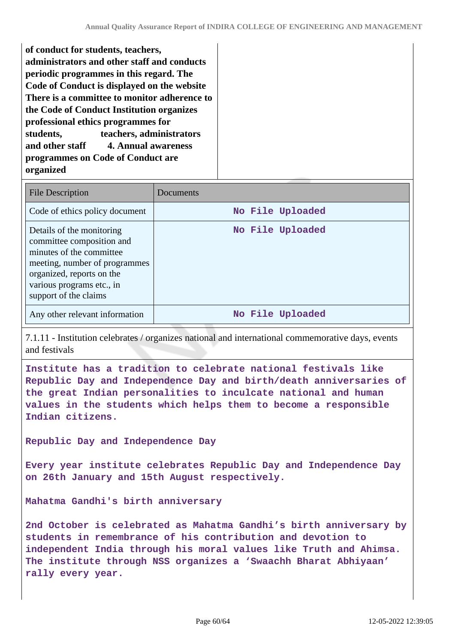**of conduct for students, teachers, administrators and other staff and conducts periodic programmes in this regard. The Code of Conduct is displayed on the website There is a committee to monitor adherence to the Code of Conduct Institution organizes professional ethics programmes for students, teachers, administrators and other staff 4. Annual awareness programmes on Code of Conduct are organized**

| <b>File Description</b>                                                                                                                                                                                | Documents        |
|--------------------------------------------------------------------------------------------------------------------------------------------------------------------------------------------------------|------------------|
| Code of ethics policy document                                                                                                                                                                         | No File Uploaded |
| Details of the monitoring<br>committee composition and<br>minutes of the committee<br>meeting, number of programmes<br>organized, reports on the<br>various programs etc., in<br>support of the claims | No File Uploaded |
| Any other relevant information                                                                                                                                                                         | No File Uploaded |

7.1.11 - Institution celebrates / organizes national and international commemorative days, events and festivals

**Institute has a tradition to celebrate national festivals like Republic Day and Independence Day and birth/death anniversaries of the great Indian personalities to inculcate national and human values in the students which helps them to become a responsible Indian citizens.**

**Republic Day and Independence Day**

**Every year institute celebrates Republic Day and Independence Day on 26th January and 15th August respectively.**

**Mahatma Gandhi's birth anniversary**

**2nd October is celebrated as Mahatma Gandhi's birth anniversary by students in remembrance of his contribution and devotion to independent India through his moral values like Truth and Ahimsa. The institute through NSS organizes a 'Swaachh Bharat Abhiyaan' rally every year.**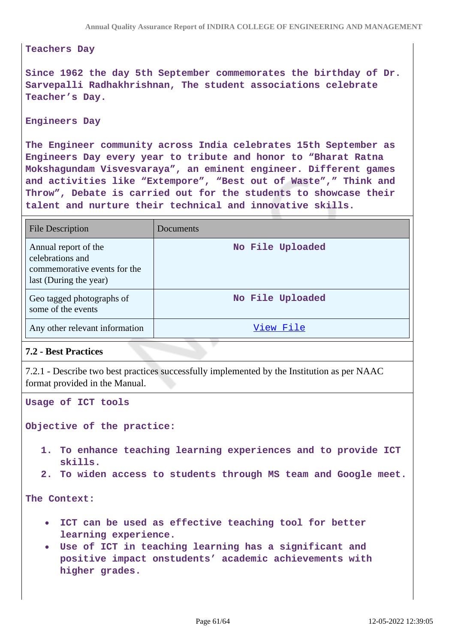#### **Teachers Day**

**Since 1962 the day 5th September commemorates the birthday of Dr. Sarvepalli Radhakhrishnan, The student associations celebrate Teacher's Day.**

#### **Engineers Day**

**The Engineer community across India celebrates 15th September as Engineers Day every year to tribute and honor to "Bharat Ratna Mokshagundam Visvesvaraya", an eminent engineer. Different games and activities like "Extempore", "Best out of Waste"," Think and Throw", Debate is carried out for the students to showcase their talent and nurture their technical and innovative skills.**

| <b>File Description</b>                                                                            | Documents        |
|----------------------------------------------------------------------------------------------------|------------------|
| Annual report of the<br>celebrations and<br>commemorative events for the<br>last (During the year) | No File Uploaded |
| Geo tagged photographs of<br>some of the events                                                    | No File Uploaded |
| Any other relevant information                                                                     | View File        |

### **7.2 - Best Practices**

7.2.1 - Describe two best practices successfully implemented by the Institution as per NAAC format provided in the Manual.

**Usage of ICT tools**

**Objective of the practice:**

- **1. To enhance teaching learning experiences and to provide ICT skills.**
- **2. To widen access to students through MS team and Google meet.**

**The Context:**

- **ICT can be used as effective teaching tool for better learning experience.**
- **Use of ICT in teaching learning has a significant and positive impact onstudents' academic achievements with higher grades.**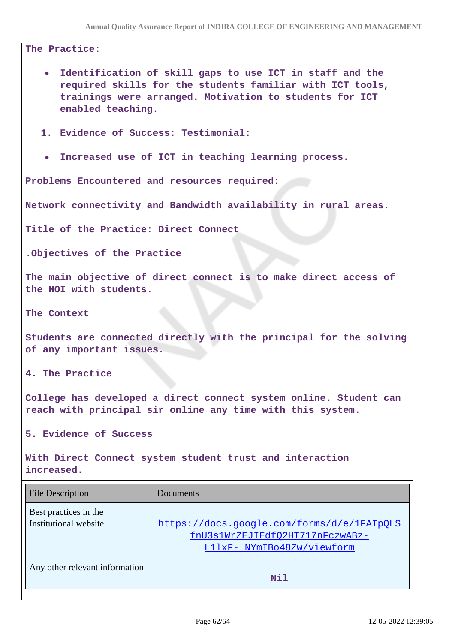### **The Practice:**

- **Identification of skill gaps to use ICT in staff and the**  $\bullet$ **required skills for the students familiar with ICT tools, trainings were arranged. Motivation to students for ICT enabled teaching.**
- **1. Evidence of Success: Testimonial:**
- **Increased use of ICT in teaching learning process.**  $\bullet$

**Problems Encountered and resources required:**

**Network connectivity and Bandwidth availability in rural areas.**

**Title of the Practice: Direct Connect**

**.Objectives of the Practice**

**The main objective of direct connect is to make direct access of the HOI with students.**

**The Context**

**Students are connected directly with the principal for the solving of any important issues.**

**4. The Practice**

**College has developed a direct connect system online. Student can reach with principal sir online any time with this system.**

**5. Evidence of Success**

**With Direct Connect system student trust and interaction increased.**

| <b>File Description</b>                        | Documents                                                                                                   |
|------------------------------------------------|-------------------------------------------------------------------------------------------------------------|
| Best practices in the<br>Institutional website | https://docs.google.com/forms/d/e/1FAIpOLS<br>fnU3s1WrZEJIEdfO2HT717nFczwABz-<br>L11xF- NYmIBo48Zw/viewform |
| Any other relevant information                 | Nil                                                                                                         |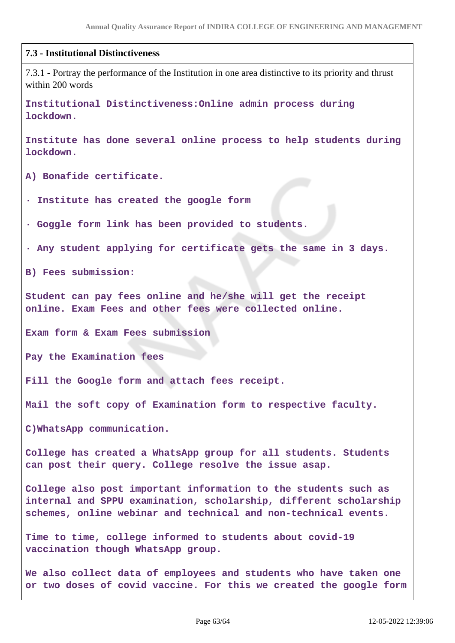#### **7.3 - Institutional Distinctiveness**

7.3.1 - Portray the performance of the Institution in one area distinctive to its priority and thrust within 200 words

**Institutional Distinctiveness:Online admin process during lockdown.**

**Institute has done several online process to help students during lockdown.**

**A) Bonafide certificate.**

**· Institute has created the google form**

**· Goggle form link has been provided to students.**

**· Any student applying for certificate gets the same in 3 days.**

**B) Fees submission:**

**Student can pay fees online and he/she will get the receipt online. Exam Fees and other fees were collected online.**

**Exam form & Exam Fees submission**

**Pay the Examination fees**

**Fill the Google form and attach fees receipt.**

**Mail the soft copy of Examination form to respective faculty.**

**C)WhatsApp communication.**

**College has created a WhatsApp group for all students. Students can post their query. College resolve the issue asap.**

**College also post important information to the students such as internal and SPPU examination, scholarship, different scholarship schemes, online webinar and technical and non-technical events.**

**Time to time, college informed to students about covid-19 vaccination though WhatsApp group.**

**We also collect data of employees and students who have taken one or two doses of covid vaccine. For this we created the google form**